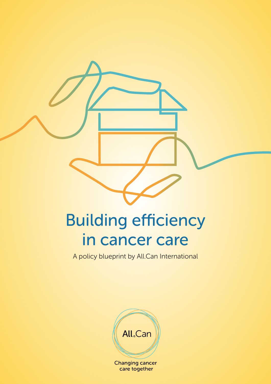

# Building efficiency in cancer care

A policy blueprint by All.Can International



**Changing cancer** care together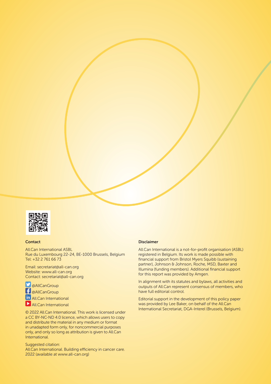

#### **Contact**

All.Can International ASBL Rue du Luxembourg 22-24, BE-1000 Brussels, Belgium Tel: +32 2 761 66 73

Email: secretariat@all-can.org Website: www.all-can.org Contact: secretariat@all-can.org

@AllCanGroup

@AllCanGroup

All.Can International

All.Can International

© 2022 All.Can International. This work is licensed under a CC BY-NC-ND 4.0 licence, which allows users to copy and distribute the material in any medium or format in unadapted form only, for noncommercial purposes only, and only so long as attribution is given to All.Can International.

#### Suggested citation:

All.Can International. Building efficiency in cancer care. 2022 (available at www.all-can.org)

#### Disclaimer

All.Can International is a not-for-profit organisation (ASBL) registered in Belgium. Its work is made possible with financial support from Bristol Myers Squibb (sustaining partner), Johnson & Johnson, Roche, MSD, Baxter and Illumina (funding members). Additional financial support for this report was provided by Amgen.

In alignment with its statutes and bylaws, all activities and outputs of All.Can represent consensus of members, who have full editorial control.

Editorial support in the development of this policy paper was provided by Lee Baker, on behalf of the All.Can International Secretariat, DGA-Interel (Brussels, Belgium).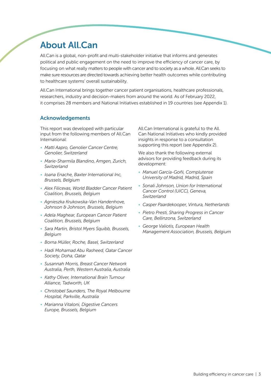# About All.Can

All.Can is a global, non-profit and multi-stakeholder initiative that informs and generates political and public engagement on the need to improve the efficiency of cancer care, by focusing on what really matters to people with cancer and to society as a whole. All.Can seeks to make sure resources are directed towards achieving better health outcomes while contributing to healthcare systems' overall sustainability.

All.Can International brings together cancer patient organisations, healthcare professionals, researchers, industry and decision-makers from around the world. As of February 2022, it comprises 28 members and National Initiatives established in 19 countries (see Appendix 1).

#### Acknowledgements

This report was developed with particular input from the following members of All.Can International:

- *• Matti Aapro, Genolier Cancer Centre, Genolier, Switzerland*
- *• Marie-Sharmila Blandino, Amgen, Zurich, Switzerland*
- *• Ioana Enache, Baxter International Inc, Brussels, Belgium*
- *• Alex Filicevas, World Bladder Cancer Patient Coalition, Brussels, Belgium*
- *• Agnieszka Krukowska-Van Handenhove, Johnson & Johnson, Brussels, Belgium*
- *• Adela Maghear, European Cancer Patient Coalition, Brussels, Belgium*
- *• Sara Martin, Bristol Myers Squibb, Brussels, Belgium*
- *• Borna Müller, Roche, Basel, Switzerland*
- *• Hadi Mohamad Abu Rasheed, Qatar Cancer Society, Doha, Qatar*
- *• Susannah Morris, Breast Cancer Network Australia, Perth, Western Australia, Australia*
- *• Kathy Oliver, International Brain Tumour Alliance, Tadworth, UK*
- *• Christobel Saunders, The Royal Melbourne Hospital, Parkville, Australia*
- *• Marianna Vitaloni, Digestive Cancers Europe, Brussels, Belgium*

All.Can International is grateful to the All. Can National Initiatives who kindly provided insights in response to a consultation supporting this report (see Appendix 2).

We also thank the following external advisors for providing feedback during its development:

- *• Manuel García-Goñi, Complutense University of Madrid, Madrid, Spain*
- *• Sonali Johnson, Union for International Cancer Control (UICC), Geneva, Switzerland*
- *• Casper Paardekooper, Vintura, Netherlands*
- *• Pietro Presti, Sharing Progress in Cancer Care, Bellinzona, Switzerland*
- *• George Valiotis, European Health Management Association, Brussels, Belgium*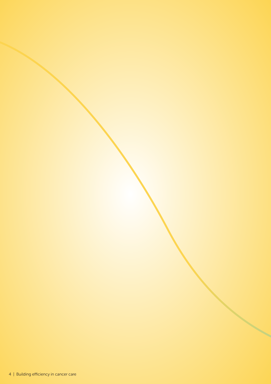4 | Building efficiency in cancer care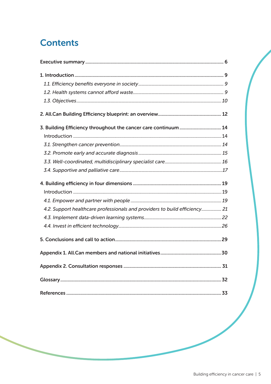# **Contents**

| 3. Building Efficiency throughout the cancer care continuum 14             |  |
|----------------------------------------------------------------------------|--|
|                                                                            |  |
|                                                                            |  |
|                                                                            |  |
|                                                                            |  |
|                                                                            |  |
|                                                                            |  |
|                                                                            |  |
|                                                                            |  |
|                                                                            |  |
| 4.2. Support healthcare professionals and providers to build efficiency 21 |  |
|                                                                            |  |
|                                                                            |  |
|                                                                            |  |
|                                                                            |  |
|                                                                            |  |
|                                                                            |  |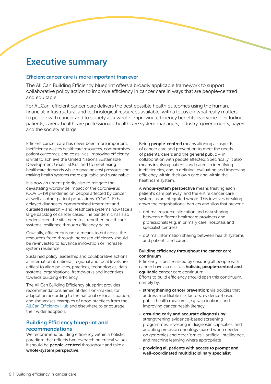# Executive summary

#### Efficient cancer care is more important than ever

The All.Can Building Efficiency blueprint offers a broadly applicable framework to support collaborative policy action to improve efficiency in cancer care in ways that are people-centred and equitable.

For All.Can, efficient cancer care delivers the best possible health outcomes using the human, financial, infrastructural and technological resources available, with a focus on what really matters to people with cancer and to society as a whole. Improving efficiency benefits everyone – including patients, carers, healthcare professionals, healthcare system managers, industry, governments, payers and the society at large.

Efficient cancer care has never been more important. Inefficiency wastes healthcare resources, compromises patient outcomes, and costs lives. Improving efficiency is vital to achieve the United Nations Sustainable Development Goals (SDGs) and to meet rising healthcare demands while managing cost pressures and making health systems more equitable and sustainable.

It is now an urgent priority also to mitigate the devastating worldwide impact of the coronavirus (COVID-19) pandemic on people affected by cancer, as well as other patient populations. COVID-19 has delayed diagnoses, compromised treatment and curtailed research – and healthcare systems now face a large backlog of cancer cases. The pandemic has also underscored the vital need to strengthen healthcare systems' resilience through efficiency gains.

Crucially, efficiency is not a means to cut costs: the resources freed through increased efficiency should be re-invested to advance innovation or increase system resilience.

Sustained policy leadership and collaborative actions at international, national, regional and local levels are critical to align policies, practices, technologies, data systems, organisational frameworks and incentives towards building efficiency.

The All.Can Building Efficiency blueprint provides recommendations aimed at decision-makers, for adaptation according to the national or local situation, and showcases examples of good practices from the **All.Can Efficiency Hub and elsewhere to encourage** their wider adoption.

### Building Efficiency blueprint and recommendations

We recommend building efficiency within a holistic paradigm that reflects two overarching critical values: it should be **people-centred** throughout and take a whole-system perspective.

Being people-centred means aligning all aspects of cancer care and prevention to meet the needs of patients, carers and the general public – in collaboration with people affected. Specifically, it also means involving patients and carers in identifying inefficiencies, and in defining, evaluating and improving efficiency within their own care and within the healthcare system.

A whole-system perspective means treating each patient's care pathway, and the entire cancer care system, as an integrated whole. This involves breaking down the organisational barriers and silos that prevent:

- optimal resource allocation and data sharing between different healthcare providers and professionals (e.g. in primary care, hospitals and specialist centres)
- optimal information sharing between health systems and patients and carers.

#### Building efficiency throughout the cancer care continuum

Efficiency is best realised by ensuring all people with cancer have access to a holistic, people-centred and equitable cancer care continuum. Efforts to build efficiency should span this continuum, namely by:

- strengthening cancer prevention: via policies that address modifiable risk factors, evidence-based public health measures (e.g. vaccination), and improving cancer health literacy
- ensuring early and accurate diagnosis by: strengthening evidence-based screening programmes, investing in diagnostic capacities, and adopting precision oncology (based when needed on genomics and other 'omics'), artificial intelligence, and machine learning where appropriate
- providing all patients with access to prompt and well-coordinated multidisciplinary specialist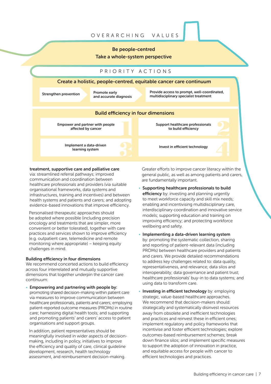# OVERARCHING VALUES

### Be people-centred Take a whole-system perspective



#### treatment, supportive care and palliative care

via: streamlined referral pathways; improved communication and coordination between healthcare professionals and providers (via suitable organisational frameworks, data systems and infrastructures, training and incentives) and between health systems and patients and carers; and adopting evidence-based innovations that improve efficiency.

 Personalised therapeutic approaches should be adopted where possible (including precision oncology and treatments that are simpler, more convenient or better tolerated), together with care practices and services shown to improve efficiency (e.g. outpatient care, telemedicine and remote monitoring where appropriate) – keeping equity challenges in mind.

#### Building efficiency in four dimensions

We recommend concerted actions to build efficiency across four interrelated and mutually supportive dimensions that together underpin the cancer care continuum:

• Empowering and partnering with people by: promoting shared decision-making within patient care via measures to improve communication between healthcare professionals, patients and carers; employing patient-reported outcome measures (PROMs) in routine care; harnessing digital health tools; and supporting and promoting patients' and carers' access to patient organisations and support groups.

 In addition, patient representatives should be meaningfully involved in wider aspects of decisionmaking, including in policy, initiatives to improve the efficiency and quality of care, clinical guideline development, research, health technology assessment, and reimbursement decision-making.

 Greater efforts to improve cancer literacy within the general public, as well as among patients and carers, are fundamentally important.

- Supporting healthcare professionals to build efficiency by: investing and planning urgently to meet workforce capacity and skill mix needs; enabling and incentivising multidisciplinary care, interdisciplinary coordination and innovative service models; supporting education and training on improving efficiency; and protecting workforce wellbeing and safety.
- Implementing a data-driven learning system by: promoting the systematic collection, sharing and reporting of patient-relevant data (including PROMs) between healthcare providers and patients and carers. We provide detailed recommendations to address key challenges related to: data quality, representativeness, and relevance; data silos and interoperability; data governance and patient trust; healthcare professionals' buy-in to data systems; and using data to transform care.
- Investing in efficient technology by: employing strategic, value-based healthcare approaches. We recommend that decision-makers should: strategically and systematically disinvest resources away from obsolete and inefficient technologies and practices and reinvest these in efficient ones; implement regulatory and policy frameworks that incentivise and foster efficient technologies; explore outcomes-based reimbursement schemes; break down finance silos; and implement specific measures to support the adoption of innovation in practice, and equitable access for people with cancer to efficient technologies and practices.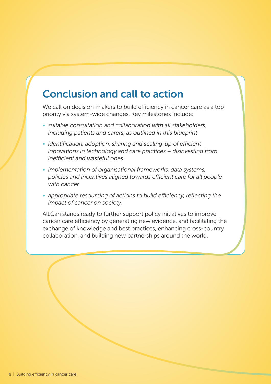# Conclusion and call to action

We call on decision-makers to build efficiency in cancer care as a top priority via system-wide changes. Key milestones include:

- *suitable consultation and collaboration with all stakeholders, including patients and carers, as outlined in this blueprint*
- *identification, adoption, sharing and scaling-up of efficient innovations in technology and care practices – disinvesting from inefficient and wasteful ones*
- *implementation of organisational frameworks, data systems, policies and incentives aligned towards efficient care for all people with cancer*
- *appropriate resourcing of actions to build efficiency, reflecting the impact of cancer on society.*

All.Can stands ready to further support policy initiatives to improve cancer care efficiency by generating new evidence, and facilitating the exchange of knowledge and best practices, enhancing cross-country collaboration, and building new partnerships around the world.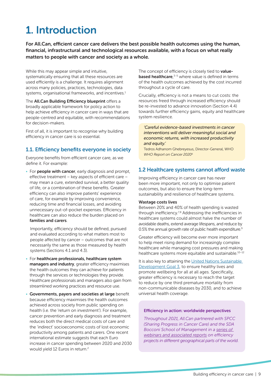# 1. Introduction

For All.Can, efficient cancer care delivers the best possible health outcomes using the human, financial, infrastructural and technological resources available, with a focus on what really matters to people with cancer and society as a whole.

While this may appear simple and intuitive, systematically ensuring that all these resources are used efficiently is a challenge. It requires alignment across many policies, practices, technologies, data systems, organisational frameworks, and incentives.<sup>1</sup>

The **All.Can Building Efficiency blueprint** offers a broadly applicable framework for policy action to help achieve efficiency in cancer care in ways that are people-centred and equitable, with recommendations for decision-makers.

First of all, it is important to recognise why building efficiency in cancer care is so essential.

# 1.1. Efficiency benefits everyone in society

Everyone benefits from efficient cancer care, as we define it. For example:

• For **people with cancer**, early diagnosis and prompt, effective treatment – key aspects of efficient care – may mean a cure, extended survival, a better quality of life, or a combination of these benefits. Greater efficiency can also improve patients' experience of care, for example by improving convenience, reducing time and financial losses, and avoiding unnecessary out-of-pocket expenses. Efficiency in healthcare can also reduce the burden placed on families and carers.

 Importantly, efficiency should be defined, pursued and evaluated according to what matters most to people affected by cancer – outcomes that are not necessarily the same as those measured by health systems (Sections 4.1 and 4.3).

- For healthcare professionals, healthcare system managers and industry, greater efficiency maximises the health outcomes they can achieve for patients through the services or technologies they provide. Healthcare professionals and managers also gain from streamlined working practices and resource use.
- Governments, payers and societies at large benefit because efficiency maximises the health outcomes achieved across society from public spending on health (i.e. the 'return on investment'). For example, cancer prevention and early diagnosis and treatment reduces both the direct medical costs of care and the 'indirect' socioeconomic costs of lost economic productivity among patients and carers. One recent international estimate suggests that each Euro increase in cancer spending between 2020 and 2030 would yield 12 Euros in return.<sup>2</sup>

The concept of efficiency is closely tied to value**based healthcare,**<sup>3-5</sup> where value is defined in terms of the health outcomes achieved by the cost incurred throughout a cycle of care.

Crucially, efficiency is not a means to cut costs: the resources freed through increased efficiency should be re-invested to advance innovation (Section 4.4) towards further efficiency gains, equity and healthcare system resilience.

*'Careful evidence-based investments in cancer interventions will deliver meaningful social and economic returns, with increased productivity and equity.'*

Tedros Adhanom Ghebreyesus, Director-General, WHO *WHO Report on Cancer 20206*

#### 1.2 Healthcare systems cannot afford waste

Improving efficiency in cancer care has never been more important, not only to optimise patient outcomes, but also to ensure the long-term sustainability and resilience of healthcare systems.

#### Wastage costs lives

Between 20% and 40% of health spending is wasted through inefficiency.7,8 Addressing the inefficiencies in healthcare systems could almost halve the number of avoidable deaths, extend average lifespans, and reduce by 0.5% the annual growth rate of public health expenditure.<sup>9</sup>

Greater efficiency will become ever more important to help meet rising demand for increasingly complex healthcare while managing cost pressures and making healthcare systems more equitable and sustainable.10–12

It is also key to attaining the United Nations Sustainable Development Goal 3, to ensure healthy lives and promote wellbeing for all at all ages. Specifically, greater efficiency is necessary to reach the target to reduce by one third premature mortality from non-communicable diseases by 2030, and to achieve universal health coverage.

#### Efficiency in action: worldwide perspectives

*Throughout 2021, All.Can partnered with SPCC (Sharing Progress in Cancer Care) and the SDA Bocconi School of Management in a series of webinars and associated reports on efficiency projects in different geographical parts of the world.*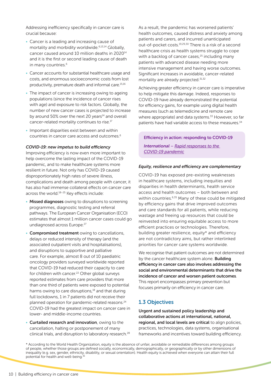Addressing inefficiency specifically in cancer care is crucial because:

- Cancer is a leading and increasing cause of mortality and morbidity worldwide.<sup>6,13,14</sup> Globally, cancer caused around 10 million deaths in 202014 and it is the first or second leading cause of death in many countries.<sup>6</sup>
- Cancer accounts for substantial healthcare usage and costs, and enormous socioeconomic costs from lost productivity, premature death and informal care.15,16
- The impact of cancer is increasing owing to ageing populations (since the incidence of cancer rises with age) and exposure to risk factors. Globally, the number of new cancer cases is projected to increase by around 50% over the next 20 years $14$  and overall cancer-related mortality continues to rise.17
- Important disparities exist between and within countries in cancer care access and outcomes.6

#### *COVID-19: new impetus to build efficiency*

Improving efficiency is now even more important to help overcome the lasting impact of the COVID-19 pandemic, and to make healthcare systems more resilient in future. Not only has COVID-19 caused disproportionately high rates of severe illness, complications and death among people with cancer, it has also had immense collateral effects on cancer care across the world.18–25 Key effects include:

- Missed diagnoses owing to disruptions to screening programmes, diagnostic testing and referral pathways. The European Cancer Organisation (ECO) estimates that almost 1 million cancer cases could go undiagnosed across Europe.<sup>27</sup>
- Compromised treatment owing to cancellations, delays or reduced intensity of therapy (and the associated outpatient visits and hospitalisations), and disruptions to supportive and palliative care. For example, almost 8 out of 10 paediatric oncology providers surveyed worldwide reported that COVID-19 had reduced their capacity to care for children with cancer.<sup>22</sup> Other global surveys reported estimates from care providers that more than one third of patients were exposed to potential harms owing to care disruptions, $18$  and that during full lockdowns, 1 in 7 patients did not receive their planned operation for pandemic-related reasons.<sup>24</sup> COVID-19 had the greatest impact on cancer care in lower- and middle-income countries.
- Curtailed research and innovation, owing to the cancellation, halting or postponement of many clinical trials, and disruption to laboratory research.<sup>28</sup>

As a result, the pandemic has worsened patients' health outcomes, caused distress and anxiety among patients and carers, and incurred unanticipated out-of-pocket costs.19,29,30 There is a risk of a second healthcare crisis as health systems struggle to cope with a backlog of cancer cases,<sup>25</sup> including many patients with advanced disease needing more intensive management and having worse outcomes. Significant increases in avoidable, cancer-related mortality are already projected.<sup>31,32</sup>

Achieving greater efficiency in cancer care is imperative to help mitigate this damage. Indeed, responses to COVID-19 have already demonstrated the potential for efficiency gains, for example using digital health measures (such as telemedicine and remote care where appropriate) and data systems.<sup>33</sup> However, so far patients have had variable access to these measures.<sup>34</sup>

Efficiency in action: responding to COVID-19 *International – Rapid responses to the COVID-19 pandemic*

#### *Equity, resilience and efficiency are complementary*

COVID-19 has exposed pre-existing weaknesses in healthcare systems, including inequities and disparities in health determinants, health service access and health outcomes – both between and within countries.<sup>6,35</sup> Many of these could be mitigated by efficiency gains that drive improved outcomes and care standards for all patients, while reducing wastage and freeing up resources that could be reinvested into ensuring equitable access to more efficient practices or technologies. Therefore, building greater resilience, equity\* and efficiency are not contradictory aims, but rather interlinked priorities for cancer care systems worldwide.

We recognise that patient outcomes are not determined by the cancer healthcare system alone. **Building** efficiency in cancer care also involves addressing the social and environmental determinants that drive the incidence of cancer and worsen patient outcomes. This report encompasses primary prevention but focuses primarily on efficiency in cancer care.

### 1.3 Objectives

Urgent and sustained policy leadership and collaborative actions at international, national, regional, and local levels are critical to align policies. practices, technologies, data systems, organisational frameworks and incentives toward building efficiency.

\* According to the World Health Organization, equity is the absence of unfair, avoidable or remediable differences among groups of people, whether those groups are defined socially, economically, demographically, or geographically or by other dimensions of inequality (e.g. sex, gender, ethnicity, disability, or sexual orientation). Health equity is achieved when everyone can attain their full potential for health and well-being.<sup>36</sup>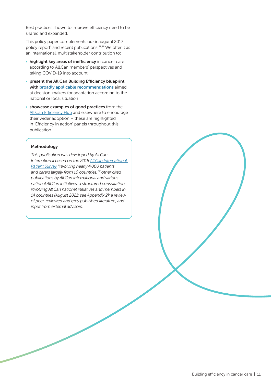Best practices shown to improve efficiency need to be shared and expanded.

This policy paper complements our inaugural 2017 policy report<sup>1</sup> and recent publications.<sup>37,38</sup> We offer it as an international, multistakeholder contribution to:

- highlight key areas of inefficiency in cancer care according to All.Can members' perspectives and taking COVID-19 into account
- present the All.Can Building Efficiency blueprint, with broadly applicable recommendations aimed at decision-makers for adaptation according to the national or local situation
- showcase examples of good practices from the All.Can Efficiency Hub and elsewhere to encourage their wider adoption – these are highlighted in 'Efficiency in action' panels throughout this publication.

#### Methodology

*This publication was developed by All.Can International based on the 2018 All.Can International Patient Survey (involving nearly 4,000 patients and carers largely from 10 countries; 37 other cited publications by All.Can International and various national All.Can initiatives; a structured consultation involving All.Can national initiatives and members in 14 countries (August 2021; see Appendix 2); a review of peer-reviewed and grey published literature; and input from external advisors.*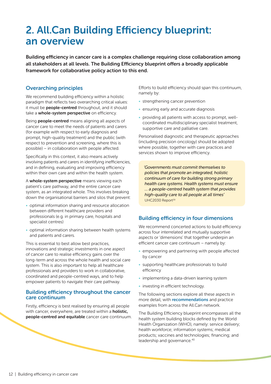# 2. All.Can Building Efficiency blueprint: an overview

Building efficiency in cancer care is a complex challenge requiring close collaboration among all stakeholders at all levels. The Building Efficiency blueprint offers a broadly applicable framework for collaborative policy action to this end.

### Overarching principles

We recommend building efficiency within a holistic paradigm that reflects two overarching critical values: it must be **people-centred** throughout, and it should take a whole-system perspective on efficiency.

Being people-centred means aligning all aspects of cancer care to meet the needs of patients and carers (for example with respect to early diagnosis and prompt, high-quality treatment) and the public (with respect to prevention and screening, where this is possible) – in collaboration with people affected.

Specifically in this context, it also means actively involving patients and carers in identifying inefficiencies, and in defining, evaluating and improving efficiency within their own care and within the health system.

A whole-system perspective means viewing each patient's care pathway, and the entire cancer care system, as an integrated whole. This involves breaking down the organisational barriers and silos that prevent:

- optimal information sharing and resource allocation between different healthcare providers and professionals (e.g. in primary care, hospitals and specialist centres)
- optimal information sharing between health systems and patients and carers.

This is essential to best allow best practices, innovations and strategic investments in one aspect of cancer care to realise efficiency gains over the long-term and across the whole health and social care system. This is also important to help all healthcare professionals and providers to work in collaborative, coordinated and people-centred ways, and to help empower patients to navigate their care pathway.

#### Building efficiency throughout the cancer care continuum

Firstly, efficiency is best realised by ensuring all people with cancer, everywhere, are treated within a **holistic,** people-centred and equitable cancer care continuum. Efforts to build efficiency should span this continuum, namely by:

- strengthening cancer prevention
- ensuring early and accurate diagnosis
- providing all patients with access to prompt, wellcoordinated multidisciplinary specialist treatment, supportive care and palliative care.

Personalised diagnostic and therapeutic approaches (including precision oncology) should be adopted where possible, together with care practices and services shown to improve efficiency.

*'Governments must commit themselves to policies that promote an integrated, holistic continuum of care for building strong primary health care systems. Health systems must ensure … a people-centred health system that provides high-quality care to all people at all times'*  UHC2030 Report<sup>39</sup>

## Building efficiency in four dimensions

We recommend concerted actions to build efficiency across four interrelated and mutually supportive aspects or 'dimensions' that together underpin an efficient cancer care continuum – namely by:

- empowering and partnering with people affected by cancer
- supporting healthcare professionals to build efficiency
- implementing a data-driven learning system
- investing in efficient technology.

The following sections explore all these aspects in more detail, with **recommendations** and practice examples from across the All.Can network.

The Building Efficiency blueprint encompasses all the health system building blocks defined by the World Health Organization (WHO), namely: service delivery; health workforce; information systems; medical products; vaccines and technologies; financing; and leadership and governance.<sup>40</sup>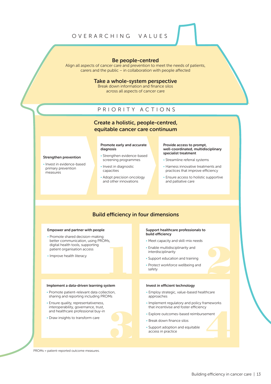# OVERARCHING VALUES

#### Be people-centred

Align all aspects of cancer care and prevention to meet the needs of patients, carers and the public – in collaboration with people affected

#### Take a whole-system perspective

Break down information and finance silos across all aspects of cancer care

# PRIORITY ACTIONS

### Create a holistic, people-centred, equitable cancer care continuum

# diagnosis

• Strengthen evidence-based screening programmes

Promote early and accurate

- Invest in diagnostic capacities
- Adopt precision oncology and other innovations

#### Provide access to prompt, well-coordinated, multidisciplinary specialist treatment

- Streamline referral systems
- Harness innovative treatments and practices that improve efficiency
- Ensure access to holistic supportive and palliative care

### Build efficiency in four dimensions

#### Empower and partner with people

• Promote shared decision-making: better communication, using PROMs, digital health tools, supporting patient organisation access

Implement a data-driven learning system • Promote patient-relevant data collection, sharing and reporting including PROMs • Ensure quality, representativeness, interoperability, governance, trust, and healthcare professional buy-in • Draw insights to transform care

• Improve health literacy

Strengthen prevention • Invest in evidence-based primary prevention measures

#### Support healthcare professionals to build efficiency

- Meet capacity and skill-mix needs
- Enable multidisciplinarity and interdisciplinarity
- Support education and training
- Protect workforce wellbeing and safety • Enable multidisciplinarity and<br>interdisciplinarity<br>• Support education and training<br>• Protect workforce wellbeing and<br>safety

#### Invest in efficient technology

- Employ strategic, value-based healthcare approaches
- Implement regulatory and policy frameworks that incentivise and foster efficiency
- Explore outcomes-based reimbursement
- Break down finance silos
- Explore outcomes-based reimbursement<br>Break down finance silos<br>Support adoption and equitable<br>access in practice • Support adoption and equitable access in practice

#### PROMs = patient-reported outcome measures.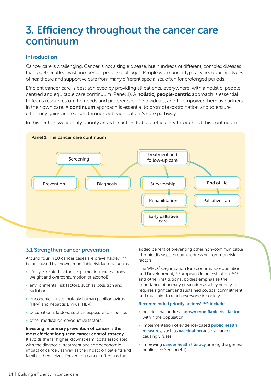# 3. Efficiency throughout the cancer care continuum

### Introduction

Cancer care is challenging. Cancer is not a single disease, but hundreds of different, complex diseases that together affect vast numbers of people of all ages. People with cancer typically need various types of healthcare and supportive care from many different specialists, often for prolonged periods.

Efficient cancer care is best achieved by providing all patients, everywhere, with a holistic, peoplecentred and equitable care continuum (Panel 1). A **holistic, people-centric** approach is essential to focus resources on the needs and preferences of individuals, and to empower them as partners in their own care. A **continuum** approach is essential to promote coordination and to ensure efficiency gains are realised throughout each patient's care pathway.

In this section we identify priority areas for action to build efficiency throughout this continuum.



## 3.1 Strengthen cancer prevention

Around four in 10 cancer cases are preventable, 41-43 being caused by known, modifiable risk factors such as:

- lifestyle-related factors (e.g. smoking, excess body weight and overconsumption of alcohol)
- environmental risk factors, such as pollution and radiation
- oncogenic viruses, notably human papillomavirus (HPV) and hepatitis B virus (HBV)
- occupational factors, such as exposure to asbestos
- other medical or reproductive factors.

Investing in primary prevention of cancer is the most efficient long-term cancer control strategy. It avoids the far higher 'downstream' costs associated with the diagnosis, treatment and socioeconomic impact of cancer, as well as the impact on patients and families themselves. Preventing cancer often has the

added benefit of preventing other non-communicable chronic diseases through addressing common risk factors.

The WHO,<sup>6</sup> Organisation for Economic Co-operation and Development,<sup>44</sup> European Union institutions<sup>43,45</sup> and other institutional bodies emphasise the importance of primary prevention as a key priority. It requires significant and sustained political commitment and must aim to reach everyone in society.

#### Recommended priority actions<sup>6,43,46</sup> include:

- policies that address known modifiable risk factors within the population
- implementation of evidence-based public health measures, such as vaccination against cancercausing viruses
- improving **cancer health literacy** among the general public (see Section 4.1).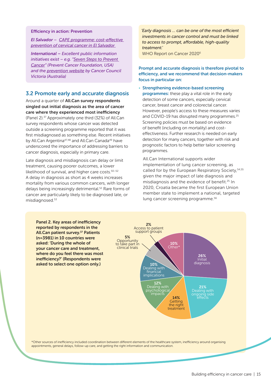#### Efficiency in action: Prevention

#### *El Salvador – CAPE programme: cost-effective prevention of cervical cancer in El Salvador*

*International – Excellent public information initiatives exist – e.g. "Seven Steps to Prevent Cancer" (Prevent Cancer Foundation, USA) and the prevention website by Cancer Council Victoria (Australia)*

#### 3.2 Promote early and accurate diagnosis

Around a quarter of All.Can survey respondents singled out initial diagnosis as the area of cancer care where they experienced most inefficiency (Panel 2).37 Approximately one third (32%) of All.Can survey respondents whose cancer was detected outside a screening programme reported that it was first misdiagnosed as something else. Recent initiatives by All.Can Argentina<sup>47,48</sup> and All.Can Canada<sup>49</sup> have underscored the importance of addressing barriers to cancer diagnosis, especially in primary care.

Late diagnosis and misdiagnosis can delay or limit treatment, causing poorer outcomes, a lower likelihood of survival, and higher care costs.<sup>50-52</sup> A delay in diagnosis as short as 4 weeks increases mortality from various common cancers, with longer delays being increasingly detrimental.<sup>52</sup> Rare forms of cancer are particularly likely to be diagnosed late, or misdiagnosed.<sup>53</sup>

*'Early diagnosis … can be one of the most efficient investments in cancer control and must be linked to access to prompt, affordable, high-quality treatment.'* 

WHO Report on Cancer 2020<sup>6</sup>

Prompt and accurate diagnosis is therefore pivotal to efficiency, and we recommend that decision-makers focus in particular on:

• Strengthening evidence-based screening **programmes:** these play a vital role in the early detection of some cancers, especially cervical cancer, breast cancer and colorectal cancer. However, people's access to these measures varies and COVID-19 has disrupted many programmes.<sup>25</sup> Screening policies must be based on evidence of benefit (including on mortality) and costeffectiveness. Further research is needed on early detection for many cancers, together with risk and prognostic factors to help better tailor screening programmes.

 All.Can International supports wider implementation of lung cancer screening, as called for by the European Respiratory Society, 54,55 given the major impact of late diagnosis and misdiagnosis and the evidence of benefit.25 In 2020, Croatia became the first European Union member state to implement a national, targeted lung cancer screening programme.<sup>56</sup>



appointments, general delays, follow-up care, and getting the right information and communication.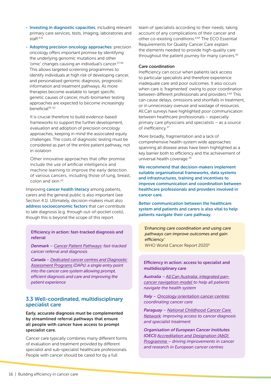- Investing in diagnostic capacities, including relevant primary care services, tests, imaging, laboratories and staff $6,51$
- Adopting precision oncology approaches: precision oncology offers important promise by identifying the underlying genomic mutations and other 'omic' changes causing an individual's cancer. 57,58 This allows targeted screening programmes to identify individuals at high risk of developing cancer, and personalised genomic diagnosis, prognostic information and treatment pathways. As more therapies become available to target specific genetic causes of cancer, multi-biomarker testing approaches are expected to become increasingly beneficial<sup>59-62</sup>

It is crucial therefore to build evidence-based frameworks to support the further development, evaluation and adoption of precision oncology approaches, keeping in mind the associated equity challenges. The costs of diagnostic testing must be considered as part of the entire patient pathway, not in isolation.

Other innovative approaches that offer promise include the use of artificial intelligence and machine learning to improve the early detection of various cancers, including those of lung, breast, colon and skin.<sup>63</sup>

Improving **cancer health literacy** among patients, carers and the general public is also important (see Section 4.1). Ultimately, decision-makers must also address socioeconomic factors that can contribute to late diagnosis (e.g. through out-of-pocket costs), though this is beyond the scope of this report.

Efficiency in action: fast-tracked diagnosis and referral

*Denmark – Cancer Patient Pathways: fast-tracked cancer referral and diagnosis*

*Canada – Dedicated cancer centres and Diagnostic Assessment Programs (DAPs): a single entry point into the cancer care system allowing prompt, efficient diagnosis and care and improving the patient experience*

### 3.3 Well-coordinated, multidisciplinary specialist care

Early, accurate diagnosis must be complemented by streamlined referral pathways that ensure all people with cancer have access to prompt specialist care.

Cancer care typically combines many different forms of evaluation and treatment provided by different specialist and sub-specialist healthcare professionals. People with cancer should be cared for by a full

team of specialists according to their needs, taking account of any complications of their cancer and other co-existing conditions.6,64 The ECO Essential Requirements for Quality Cancer Care explain the elements needed to provide high-quality care throughout the patient journey for many cancers.<sup>65</sup>

#### Care coordination

Inefficiency can occur when patients lack access to particular specialists and therefore experience inadequate care and poor outcomes. It also occurs when care is 'fragmented' owing to poor coordination between different professionals and providers.<sup>6,66</sup> This can cause delays, omissions and shortfalls in treatment, or in unnecessary overuse and wastage of resources. All.Can surveys have highlighted poor communication between healthcare professionals – especially primary care physicians and specialists – as a source of inefficiency.<sup>37</sup>

More broadly, fragmentation and a lack of comprehensive health-system wide approaches spanning all disease areas have been highlighted as a key barrier both to efficiency and the achievement of universal health coverage.<sup>39</sup>

We recommend that decision-makers implement suitable organisational frameworks, data systems and infrastructures, training and incentives to improve communication and coordination between healthcare professionals and providers involved in cancer care.

Better communication between the healthcare system and patients and carers is also vital to help patients navigate their care pathway.

*'Enhancing care coordination and using care pathways can improve outcomes and gain efficiency.'* WHO World Cancer Report 2020<sup>6</sup>

Efficiency in action: access to specialist and multidisciplinary care

*Australia – All.Can Australia: integrated pancancer navigation model to help all patients navigate the health system* 

*Italy – Oncology orientation cancer centres: coordinating cancer care*

*Paraguay – National Childhood Cancer Care Network: improving access to cancer diagnosis and specialist treatment*

*Organisation of European Cancer Institutes (OECI) Accreditation and Designation (A&D) Programme – driving improvements in cancer and research in European cancer centres*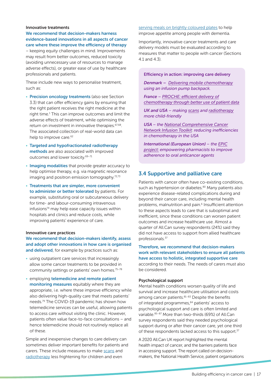#### Innovative treatments

We recommend that decision-makers harness evidence-based innovations in all aspects of cancer care where these improve the efficiency of therapy

– keeping equity challenges in mind. Improvements may result from better outcomes, reduced toxicity (avoiding unnecessary use of resources to manage adverse effects), or greater ease of use by healthcare professionals and patients.

These include new ways to personalise treatment, such as:

- Precision oncology treatments (also see Section 3.3) that can offer efficiency gains by ensuring that the right patient receives the right medicine at the right time.<sup>1</sup> This can improve outcomes and limit the adverse effects of treatment, while optimising the return on investment in innovative therapies.67,68. The associated collection of real-world data can help to improve care.<sup>62</sup>
- Targeted and hypofractionated radiotherapy methods are also associated with improved outcomes and lower toxicity.69–71
- Imaging modalities that provide greater accuracy to help optimise therapy, e.g. via magnetic resonance imaging and positron emission tomography.<sup>72,73</sup>
- Treatments that are simpler, more convenient to administer or better tolerated by patients. For example, substituting oral or subcutaneous delivery for time- and labour-consuming intravenous infusions74 may help ease capacity issues within hospitals and clinics and reduce costs, while improving patients' experience of care.

#### Innovative care practices

We recommend that decision-makers identify, assess and adopt other innovations in how care is organised and delivered, for example by practices such as:

- using outpatient care services that increasingly allow some cancer treatments to be provided in community settings or patients' own homes.<sup>75-78</sup>
- employing telemedicine and remote patient monitoring measures equitably where they are appropriate, i.e. where these improve efficiency while also delivering high-quality care that meets patients' needs.79 The COVID-19 pandemic has shown how telemedicine services can be useful, allowing patients to access care without visiting the clinic. However, patients often value face-to-face consultations – and hence telemedicine should not routinely replace all of these.

Simple and inexpensive changes to care delivery can sometimes deliver important benefits for patients and carers. These include measures to make scans and radiotherapy less frightening for children and even

serving meals on brightly coloured plates to help improve appetite among people with dementia.

Importantly, innovative cancer treatments and care delivery models must be evaluated according to measures that matter to people with cancer (Sections 4.1 and 4.3).

#### Efficiency in action: improving care delivery

*Denmark – Delivering mobile chemotherapy using an infusion pump backpack.*

*France – PROCHE: efficient delivery of chemotherapy through better use of patient data*

*UK and USA – making scans and radiotherapy more child-friendly*

*USA – the National Comprehensive Cancer Network Infusion Toolkit: reducing inefficiencies in chemotherapy in the USA*

*International (European Union) – the EPIC project: empowering pharmacists to improve adherence to oral anticancer agents*

### 3.4 Supportive and palliative care

Patients with cancer often have co-existing conditions, such as hypertension or diabetes.<sup>80</sup> Many patients also experience disease-related complications during and beyond their cancer care, including mental health problems, malnutrition and pain.<sup>6</sup> Insufficient attention to these aspects leads to care that is suboptimal and inefficient, since these conditions can worsen patient outcomes and increase healthcare use. Almost a quarter of All.Can survey respondents (24%) said they did not have access to support from allied healthcare professionals.37

Therefore, we recommend that decision-makers work with relevant stakeholders to ensure all patients have access to holistic, integrated supportive care according to their needs. The needs of carers must also be considered.

#### Psychological support

Mental health conditions worsen quality of life and survival and increase healthcare utilisation and costs among cancer patients.<sup>81-83</sup> Despite the benefits of integrated programmes,<sup>84</sup> patients' access to psychological support and care is often limited and variable.85–87 More than two-thirds (69%) of All.Can survey respondents said they needed psychological support during or after their cancer care, yet one third of these respondents lacked access to this support.<sup>37</sup>

A 2020 All.Can UK report highlighted the mental health impact of cancer, and the barriers patients face in accessing support. The report called on decisionmakers, the National Health Service, patient organisations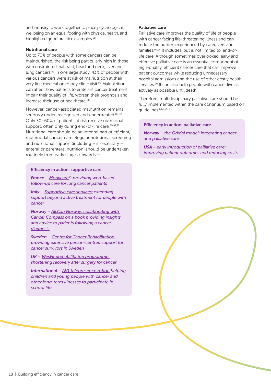and industry to work together to place psychological wellbeing on an equal footing with physical health, and highlighted good practice examples.<sup>88</sup>

#### Nutritional care

Up to 70% of people with some cancers can be malnourished, the risk being particularly high in those with gastrointestinal tract, head and neck, liver and lung cancers.<sup>89</sup> In one large study, 43% of people with various cancers were at risk of malnutrition at their very first medical oncology clinic visit.<sup>90</sup> Malnutrition can affect how patients tolerate anticancer treatment, impair their quality of life, worsen their prognosis and increase their use of healthcare.<sup>90</sup>

However, cancer-associated malnutrition remains seriously under-recognised and undertreated.<sup>89,90</sup> Only 30–60% of patients at risk receive nutritional support, often only during end-of-life care.<sup>89,91,92</sup> Nutritional care should be an integral part of efficient, multimodal cancer care. Regular nutritional screening and nutritional support (including – if necessary – enteral or parenteral nutrition) should be undertaken routinely from early stages onwards.<sup>93</sup>

#### Efficiency in action: supportive care

*France – Moovcare®: providing web-based follow-up care for lung cancer patients*

*Italy – Supportive care services: extending support beyond active treatment for people with cancer*

*Norway – All.Can Norway: collaborating with Cancer Compass on a book providing insights and advice to patients following a cancer diagnosis*

*Sweden – Centre for Cancer Rehabilitation: providing extensive person-centred support for cancer survivors in Sweden*

*UK – WesFit prehabilitation programme: shortening recovery after surgery for cancer*

*International – AV1 telepresence robot: helping children and young people with cancer and other long-term illnesses to participate in school life*

#### Palliative care

Palliative care improves the quality of life of people with cancer facing life-threatening illness and can reduce the burden experienced by caregivers and families.94,95 It includes, but is not limited to, end-oflife care. Although sometimes overlooked, early and effective palliative care is an essential component of high-quality, efficient cancer care that can improve patient outcomes while reducing unnecessary hospital admissions and the use of other costly health services.<sup>96</sup> It can also help people with cancer live as actively as possible until death.

Therefore, multidisciplinary palliative care should be fully implemented within the care continuum based on guidelines.6,65,95–98

#### Efficiency in action: palliative care

*Norway – the Orkdal model: integrating cancer and palliative care*

USA – early introduction of palliative care: *improving patient outcomes and reducing costs*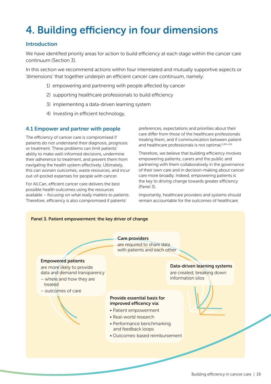# 4. Building efficiency in four dimensions

# Introduction

We have identified priority areas for action to build efficiency at each stage within the cancer care continuum (Section 3).

In this section we recommend actions within four interrelated and mutually supportive aspects or 'dimensions' that together underpin an efficient cancer care continuum, namely:

- 1) empowering and partnering with people affected by cancer
- 2) supporting healthcare professionals to build efficiency
- 3) implementing a data-driven learning system
- 4) Investing in efficient technology.

# 4.1 Empower and partner with people

The efficiency of cancer care is compromised if patients do not understand their diagnosis, prognosis or treatment. These problems can limit patients' ability to make well-informed decisions, undermine their adherence to treatment, and prevent them from navigating the health system effectively. Ultimately, this can worsen outcomes, waste resources, and incur out-of-pocket expenses for people with cancer.

For All.Can, efficient cancer care delivers the best possible health outcomes using the resources available – *focusing on what really matters to patients*. Therefore, efficiency is also compromised if patients'

preferences, expectations and priorities about their care differ from those of the healthcare professionals treating them, and if communication between patient and healthcare professionals is not optimal.<sup>6,99-101</sup>

Therefore, we believe that building efficiency involves empowering patients, carers and the public and partnering with them collaboratively in the governance of their own care and in decision-making about cancer care more broadly. Indeed, empowering patients is the key to driving change towards greater efficiency (Panel 3).

Importantly, healthcare providers and systems should remain accountable for the outcomes of healthcare.

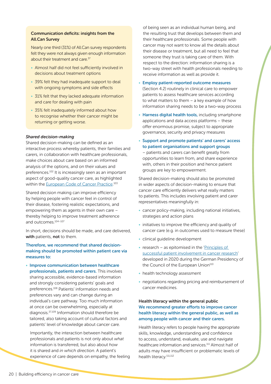#### Communication deficits: insights from the All.Can Survey

Nearly one third (31%) of All.Can survey respondents felt they were not always given enough information about their treatment and care.<sup>37</sup>

- Almost half did not feel sufficiently involved in decisions about treatment options
- 39% felt they had inadequate support to deal with ongoing symptoms and side effects
- 31% felt that they lacked adequate information and care for dealing with pain
- 35% felt inadequately informed about how to recognise whether their cancer might be returning or getting worse.

#### *Shared decision-making*

Shared decision-making can be defined as an interactive process whereby patients, their families and carers, in collaboration with healthcare professionals, make choices about care based on an informed analysis of the options, and on their values and preferences.102 It is increasingly seen as an important aspect of good-quality cancer care, as highlighted within the <u>European Code of Cancer Practice.</u><sup>103</sup>

Shared decision making can improve efficiency by helping people with cancer feel in control of their disease, fostering realistic expectations, and empowering them as agents in their own care – thereby helping to improve treatment adherence and outcomes  $104-107$ 

In short, decisions should be made, and care delivered, with patients, not to them.

#### Therefore, we recommend that shared decisionmaking should be promoted within patient care via measures to:

• Improve communication between healthcare professionals, patients and carers. This involves sharing accessible, evidence-based information and strongly considering patients' goals and preferences.108 Patients' information needs and preferences vary and can change during an individual's care pathway. Too much information at once can be overwhelming, especially at diagnosis.37,109 Information should therefore be tailored, also taking account of cultural factors and patients' level of knowledge about cancer care.

 Importantly, the interaction between healthcare professionals and patients is not only about *what* information is transferred, but also about *how* it is shared and *in which direction*. A patient's experience of care depends on empathy, the feeling of being seen as an individual human being, and the resulting trust that develops between them and their healthcare professionals. Some people with cancer may not want to know all the details about their disease or treatment, but all need to feel that someone they trust is taking care of them. With respect to the direction: information sharing is a two-way street with health professionals needing to receive information as well as provide it.

- Employ patient-reported outcome measures (Section 4.2) routinely in clinical care to empower patients to assess healthcare services according to what matters to them – a key example of how information sharing needs to be a two-way process
- Harness digital health tools, including smartphone applications and data access platforms – these offer enormous promise, subject to appropriate governance, security and privacy measures
- Support and promote patients' and carers' access to patient organisations and support groups

– patients and carers can benefit greatly from opportunities to learn from, and share experience with, others in their position and hence patient groups are key to empowerment.

Shared decision-making should also be promoted in wider aspects of decision-making to ensure that cancer care efficiently delivers what really matters to patients. This includes involving patient and carer representatives meaningfully in:

- cancer policy-making, including national initiatives, strategies and action plans
- initiatives to improve the efficiency and quality of cancer care (e.g. in outcomes used to measure these)
- clinical guideline development
- research as epitomised in the 'Principles of successful patient involvement in cancer research' developed in 2020 during the German Presidency of the Council of the European Union<sup>110</sup>
- health technology assessment
- negotiations regarding pricing and reimbursement of cancer medicines.

#### Health literacy within the general public We recommend greater efforts to improve cancer health literacy within the general public, as well as among people with cancer and their carers.

Health literacy refers to people having the appropriate skills, knowledge, understanding and confidence to access, understand, evaluate, use and navigate healthcare information and services.<sup>111</sup> Almost half of adults may have insufficient or problematic levels of health literacy.<sup>111,112</sup>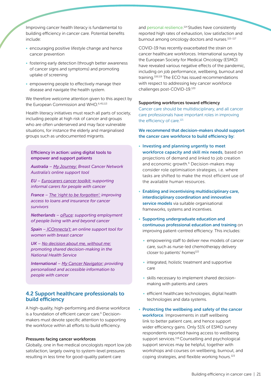Improving cancer health literacy is fundamental to building efficiency in cancer care. Potential benefits include:

- encouraging positive lifestyle change and hence cancer prevention
- fostering early detection (through better awareness of cancer signs and symptoms) and promoting uptake of screening
- empowering people to effectively manage their disease and navigate the health system.

We therefore welcome attention given to this aspect by the European Commission and WHO.6,45,113

Health literacy initiatives must reach all parts of society, including people at high risk of cancer and groups who are often underserved and may face vulnerable situations, for instance the elderly and marginalised groups such as undocumented migrants.

#### Efficiency in action: using digital tools to empower and support patients

*Australia – My Journey: Breast Cancer Network Australia's online support tool*

*EU – Eurocarers cancer toolkit: supporting informal carers for people with cancer*

*France – The 'right to be forgotten': improving access to loans and insurance for cancer survivors*

*Netherlands – oPuce: supporting employment of people living with and beyond cancer*

*Spain – ICOnnecta't: an online support tool for women with breast cancer*

*UK – No decision about me, without me: promoting shared decision-making in the National Health Service*

*International – My Cancer Navigator: providing personalised and accessible information to people with cancer*

### 4.2 Support healthcare professionals to build efficiency

A high-quality, high-performing and diverse workforce is a foundation of efficient cancer care.<sup>6</sup> Decisionmakers must devote specific attention to supporting the workforce within all efforts to build efficiency.

#### Pressures facing cancer workforces

Globally, one in five medical oncologists report low job satisfaction, largely owing to system-level pressures resulting in less time for good-quality patient care

and personal resilience.<sup>114</sup> Studies have consistently reported high rates of exhaustion, low satisfaction and burnout among oncology doctors and nurses.<sup>115-117</sup>

COVID-19 has recently exacerbated the strain on cancer healthcare workforces. International surveys by the European Society for Medical Oncology (ESMO) have revealed various negative effects of the pandemic, including on job performance, wellbeing, burnout and training.118,119 The ECO has issued recommendations with respect to addressing key cancer workforce challenges post-COVID-19.120

#### Supporting workforces toward efficiency

Cancer care should be multidisciplinary, and all cancer care professionals have important roles in improving the efficiency of care.<sup>121</sup>

We recommend that decision-makers should support the cancer care workforce to build efficiency by:

- Investing and planning urgently to meet workforce capacity and skill mix needs, based on projections of demand and linked to job creation and economic growth.<sup>6</sup> Decision-makers may consider role optimisation strategies, i.e. where tasks are shifted to make the most efficient use of the available human resources.
- Enabling and incentivising multidisciplinary care, interdisciplinary coordination and innovative service models via suitable organisational frameworks, systems and incentives.
- Supporting undergraduate education and continuous professional education and training on improving patient-centred efficiency. This includes:
	- empowering staff to deliver new models of cancer care, such as nurse-led chemotherapy delivery closer to patients' homes<sup>122</sup>
	- integrated, holistic treatment and supportive care
	- skills necessary to implement shared decisionmaking with patients and carers
	- efficient healthcare technologies, digital health technologies and data systems.
- Protecting the wellbeing and safety of the cancer workforce. Improvements in staff wellbeing link to better patient care, and hence support wider efficiency gains. Only 51% of ESMO survey respondents reported having access to wellbeing support services.<sup>118</sup> Counselling and psychological support services may be helpful, together with workshops and courses on wellbeing, burnout, and coping strategies, and flexible working hours.<sup>123</sup>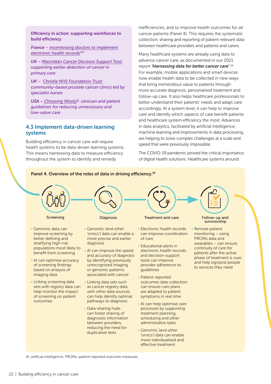Efficiency in action: supporting workforces to build efficiency

*France – incentivising doctors to implement electronic health records<sup>124</sup>*

*UK – Macmillan Cancer Decision Support Tool: supporting earlier detection of cancer in primary care*

*UK – Christie NHS Foundation Trust: community-based prostate cancer clinics led by specialist nurses*

*USA – Choosing Wisely®: clinician and patient guidelines for reducing unnecessary and low-value care*

### 4.3 Implement data-driven learning systems

Building efficiency in cancer care will require health systems to be data-driven learning systems. This means harnessing data to measure efficiency throughout the system to identify and remedy

inefficiencies, and to improve health outcomes for all cancer patients (Panel 4). This requires the systematic collection, sharing and reporting of patient-relevant data between healthcare providers and patients and carers.

Many healthcare systems are already using data to advance cancer care, as documented in our 2021 report *'Harnessing data for better cancer care'*. 38 For example, mobile applications and smart devices now enable health data to be collected in new ways that bring tremendous value to patients through more accurate diagnosis, personalised treatment and follow-up care. It also helps healthcare professionals to better understand their patients' needs and adapt care accordingly. At a system level, it can help to improve care and identify which aspects of care benefit patients and healthcare system efficiency the most. Advances in data analytics, facilitated by artificial intelligence, machine learning and improvements in data processing, are helping to solve complex challenges at a scale and speed that were previously impossible.

The COVID-19 pandemic proved the critical importance of digital health solutions. Healthcare systems around



AI, artificial intelligence; PROMs, patient-reported outcome measures.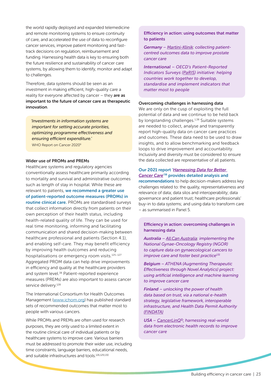the world rapidly deployed and expanded telemedicine and remote monitoring systems to ensure continuity of care, and accelerated the use of data to reconfigure cancer services, improve patient monitoring and fasttrack decisions on regulation, reimbursement and funding. Harnessing health data is key to ensuring both the future resilience and sustainability of cancer care systems, by allowing them to identify, monitor and adapt to challenges.

Therefore, data systems should be seen as an investment in making efficient, high-quality care a reality for everyone affected by cancer  $-$  they are as important to the future of cancer care as therapeutic innovation.

*'Investments in information systems are important for setting accurate priorities, optimizing programme effectiveness and ensuring efficient expenditure.'*  WHO Report on Cancer 2020<sup>6</sup>

#### Wider use of PROMs and PREMs

Healthcare systems and regulatory agencies conventionally assess healthcare primarily according to mortality and survival and administrative outcomes such as length of stay in hospital. While these are relevant to patients, we recommend a greater use of patient-reported outcome measures (PROMs) in routine clinical care. PROMs are standardised surveys that collect information directly from patients on their own perception of their health status, including health-related quality of life. They can be used for real time monitoring, informing and facilitating communication and shared decision-making between healthcare professional and patients (Section 4.1), and enabling self-care. They may benefit efficiency by improving health outcomes and reducing hospitalisations or emergency room visits.125–127 Aggregated PROM data can help drive improvements in efficiency and quality at the healthcare providers and system level.<sup>38</sup> Patient-reported experience measures (PREMs) are also important to assess cancer service delivery.<sup>128</sup>

The International Consortium for Health Outcomes Management (www.ichom.org) has published standard sets of recommended outcomes that matter most to people with various cancers.

While PROMs and PREMs are often used for research purposes, they are only used to a limited extent in the routine clinical care of individual patients or by healthcare systems to improve care. Various barriers must be addressed to promote their wider use, including time constraints, language barriers, educational needs, and suitable infrastructures and tools.126,129,130

#### Efficiency in action: using outcomes that matter to patients

*Germany – Martini-Klinik: collecting patientcentred outcomes data to improve prostate cancer care*

*International – OECD's Patient-Reported Indicators Surveys (PaRIS) initiative: helping countries work together to develop, standardise and implement indicators that matter most to people* 

#### Overcoming challenges in harnessing data

We are only on the cusp of exploiting the full potential of data and we continue to be held back by longstanding challenges.<sup>1,38</sup> Suitable systems are needed to collect, analyse and transparently report high-quality data on cancer care practices and outcomes. These data need to be used to draw insights, and to allow benchmarking and feedback loops to drive improvement and accountability. Inclusivity and diversity must be considered to ensure the data collected are representative of all patients.

#### Our 2021 report '*Harnessing Data for Better Cancer Care*' <sup>38</sup> provides detailed analysis and

recommendations to help decision-makers address key challenges related to: the quality, representativeness and relevance of data; data silos and interoperability; data governance and patient trust; healthcare professionals' buy-in to data systems; and using data to transform care – as summarised in Panel 5.

#### Efficiency in action: overcoming challenges in harnessing data

*Australia – All.Can Australia: implementing the National Gynae-Oncology Registry (NGOR) to capture data on gynaecological cancers to improve care and foster best practice<sup>131</sup>*

*Belgium – ATHENA (Augmenting Therapeutic Effectiveness through Novel Analytics) project: using artificial intelligence and machine learning to improve cancer care*

*Finland – unlocking the power of health data based on trust, via a national e-health strategy, legislative framework, interoperable infrastructure, and Health Data Permit Authority (FINDATA)*

*USA – CancerLinQ®: harnessing real-world data from electronic health records to improve cancer care*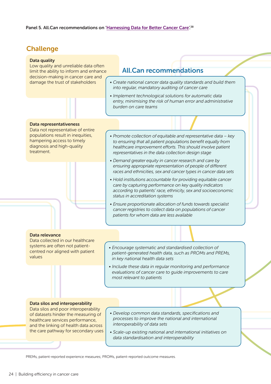# Challenge

#### Data quality

Low quality and unreliable data often limit the ability to inform and enhance decision-making in cancer care and damage the trust of stakeholders

# All.Can recommendations

- *• Create national cancer data quality standards and build them into regular, mandatory auditing of cancer care*
- *• Implement technological solutions for automatic data entry, minimising the risk of human error and administrative burden on care teams*

#### Data representativeness

Data not representative of entire populations result in inequities, hampering access to timely diagnosis and high-quality treatment.

- *• Promote collection of equitable and representative data key to ensuring that all patient populations benefit equally from healthcare improvement efforts. This should involve patient representatives in the data collection design stage*
- *• Demand greater equity in cancer research and care by ensuring appropriate representation of people of different races and ethnicities, sex and cancer types in cancer data sets*
- *• Hold institutions accountable for providing equitable cancer care by capturing performance on key quality indicators according to patients' race, ethnicity, sex and socioeconomic status in accreditation systems*
- *• Ensure proportionate allocation of funds towards specialist cancer registries to collect data on populations of cancer patients for whom data are less available*

#### Data relevance

Data collected in our healthcare systems are often not patientcentred nor aligned with patient values

- *• Encourage systematic and standardised collection of patient-generated health data, such as PROMs and PREMs, in key national health data sets*
- *• Include these data in regular monitoring and performance evaluations of cancer care to guide improvements to care most relevant to patients*

#### Data silos and interoperability

Data silos and poor interoperability of datasets hinder the measuring of healthcare services performance, and the linking of health data across the care pathway for secondary uses

- *• Develop common data standards, specifications and processes to improve the national and international interoperability of data sets*
- *• Scale-up existing national and international initiatives on data standardisation and interoperability*

PREMs, patient-reported experience measures; PROMs, patient-reported outcome measures.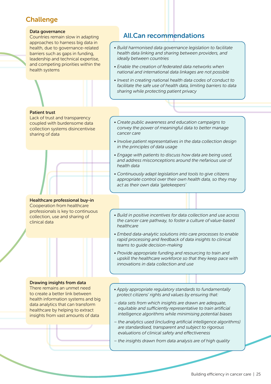# Challenge

#### Data governance

Countries remain slow in adapting approaches to harness big data in health, due to governance-related barriers such as gaps in funding, leadership and technical expertise, and competing priorities within the health systems

# All.Can recommendations

- *Build harmonised data governance legislation to facilitate health data linking and sharing between providers, and ideally between countries*
- *Enable the creation of federated data networks when national and international data linkages are not possible*
- *Invest in creating national health data codes of conduct to facilitate the safe use of health data, limiting barriers to data sharing while protecting patient privacy*

#### Patient trust

Lack of trust and transparency coupled with burdensome data collection systems disincentivise sharing of data

# Healthcare professional buy-in

Cooperation from healthcare professionals is key to continuous collection, use and sharing of clinical data

- *Create public awareness and education campaigns to convey the power of meaningful data to better manage cancer care*
- *Involve patient representatives in the data collection design in the principles of data usage*
- *Engage with patients to discuss how data are being used, and address misconceptions around the nefarious use of health data*
- *Continuously adapt legislation and tools to give citizens appropriate control over their own health data, so they may act as their own data 'gatekeepers'*
- *Build in positive incentives for data collection and use across the cancer care pathway, to foster a culture of value-based healthcare*
- *Embed data-analytic solutions into care processes to enable rapid processing and feedback of data insights to clinical teams to guide decision-making*
- *Provide appropriate funding and resourcing to train and upskill the healthcare workforce so that they keep pace with innovations in data collection and use*

#### Drawing insights from data

There remains an unmet need to create a better link between health information systems and big data analytics that can transform healthcare by helping to extract insights from vast amounts of data

- *Apply appropriate regulatory standards to fundamentally protect citizens' rights and values by ensuring that:*
- *data sets from which insights are drawn are adequate, equitable and sufficiently representative to train artificial intelligence algorithms while minimising potential biases*
- *the analytics used (including artificial intelligence algorithms) are standardised, transparent and subject to rigorous evaluations of clinical safety and effectiveness*
- *the insights drawn from data analysis are of high quality*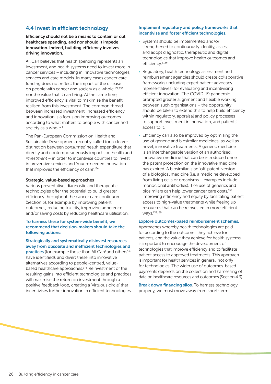### 4.4 Invest in efficient technology

Efficiency should not be a means to contain or cut healthcare spending, and nor should it impede innovation. Indeed, building efficiency involves driving innovation.

All.Can believes that health spending represents an investment, and health systems need to invest more in cancer services – including in innovative technologies, services and care models. In many cases cancer care funding does not reflect the impact of the disease on people with cancer and society as a whole, 132,133 nor the value that it can bring. At the same time, improved efficiency is vital to maximise the benefit realised from this investment. The common thread between increased investment, increased efficiency and innovation is a focus on improving outcomes according to what matters to people with cancer and society as a whole. $1$ 

The Pan-European Commission on Health and Sustainable Development recently called for a clearer distinction between *consumed* health expenditure that directly and contemporaneously impacts on health and *investment* – in order to incentivise countries to invest in preventive services and 'much-needed innovation that improves the efficiency of care'.<sup>134</sup>

#### Strategic, value-based approaches

Various preventative, diagnostic and therapeutic technologies offer the potential to build greater efficiency throughout the cancer care continuum (Section 3), for example by improving patient outcomes, reducing toxicity, improving adherence and/or saving costs by reducing healthcare utilisation.

#### To harness these for system-wide benefit, we recommend that decision-makers should take the following actions:

Strategically and systematically disinvest resources away from obsolete and inefficient technologies and practices (for example those than All.Can<sup>1</sup> and others<sup>135</sup> have identified), and divert these into innovative alternatives according to people-centred, valuebased healthcare approaches.<sup>3-5</sup> Reinvestment of the resulting gains into efficient technologies and practices will maximise the return on investment through a positive feedback loop, creating a 'virtuous circle' that incentivises further innovation in efficient technologies.

#### Implement regulatory and policy frameworks that incentivise and foster efficient technologies.

- Systems should be implemented and/or strengthened to continuously identify, assess and adopt diagnostic, therapeutic and digital technologies that improve health outcomes and efficiency.1,136
- Regulatory, health technology assessment and reimbursement agencies should create collaborative frameworks (including expert patient advocacy representatives) for evaluating and incentivising efficient innovation. The COVID-19 pandemic prompted greater alignment and flexible working between such organisations – the opportunity should be taken to extend this to help build efficiency within regulatory, appraisal and policy processes to support investment in innovation, and patients' access to it.
- Efficiency can also be improved by optimising the use of generic and biosimilar medicines, as well as novel, innovative treatments. A generic medicine is an interchangeable version of an authorised, innovative medicine that can be introduced once the patent protection on the innovative medicine has expired. A biosimilar is an 'off-patent' version of a biological medicine (i.e. a medicine developed from living cells or organisms – examples include monoclonal antibodies). The use of generics and biosimilars can help lower cancer care costs,137 improving efficiency and equity by facilitating patient access to high-value treatments while freeing up resources that can be reinvested in more efficient ways.138,139

#### Explore outcomes-based reimbursement schemes.

Approaches whereby health technologies are paid for according to the outcomes they achieve for patients, and the value they achieve for health systems, is important to encourage the development of technologies that improve efficiency and to facilitate patient access to approved treatments. This approach is important for health services in general, not only for technologies. The wider use of outcomes-based payments depends on the collection and harnessing of data on healthcare resources and outcomes (Section 4.3).

Break down financing silos. To harness technology properly, we must move away from short-term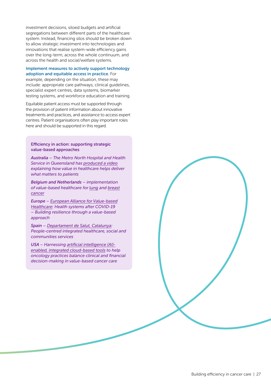investment decisions, siloed budgets and artificial segregations between different parts of the healthcare system. Instead, financing silos should be broken down to allow strategic investment into technologies and innovations that realise system-wide efficiency gains over the long-term, across the whole continuum, and across the health and social/welfare systems.

#### Implement measures to actively support technology adoption and equitable access in practice. For

example, depending on the situation, these may include: appropriate care pathways, clinical guidelines, specialist expert centres, data systems, biomarker testing systems, and workforce education and training.

Equitable patient access must be supported through the provision of patient information about innovative treatments and practices, and assistance to access expert centres. Patient organisations often play important roles here and should be supported in this regard.

#### Efficiency in action: supporting strategic value-based approaches

*Australia – The Metro North Hospital and Health Service in Queensland has produced a video explaining how value in healthcare helps deliver what matters to patients*

*Belgium and Netherlands – implementation of value-based healthcare for lung and breast cancer*

*Europe – European Alliance for Value-based Healthcare: Health systems after COVID-19 – Building resilience through a value-based approach*

*Spain – Departament de Salut, Catalunya: People-centred integrated healthcare, social and communities services*

*USA – Harnessing artificial intelligence (AI) enabled, integrated cloud-based tools to help oncology practices balance clinical and financial decision-making in value-based cancer care*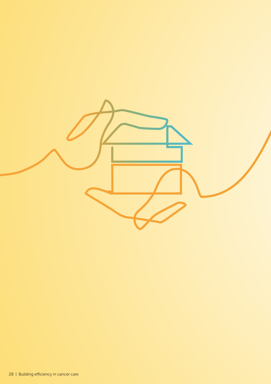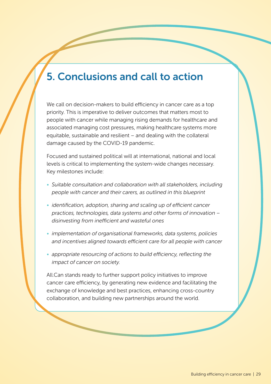# 5. Conclusions and call to action

We call on decision-makers to build efficiency in cancer care as a top priority. This is imperative to deliver outcomes that matters most to people with cancer while managing rising demands for healthcare and associated managing cost pressures, making healthcare systems more equitable, sustainable and resilient – and dealing with the collateral damage caused by the COVID-19 pandemic.

Focused and sustained political will at international, national and local levels is critical to implementing the system-wide changes necessary. Key milestones include:

- *Suitable consultation and collaboration with all stakeholders, including people with cancer and their carers, as outlined in this blueprint*
- *identification, adoption, sharing and scaling up of efficient cancer practices, technologies, data systems and other forms of innovation – disinvesting from inefficient and wasteful ones*
- *implementation of organisational frameworks, data systems, policies and incentives aligned towards efficient care for all people with cancer*
- *appropriate resourcing of actions to build efficiency, reflecting the impact of cancer on society.*

All.Can stands ready to further support policy initiatives to improve cancer care efficiency, by generating new evidence and facilitating the exchange of knowledge and best practices, enhancing cross-country collaboration, and building new partnerships around the world.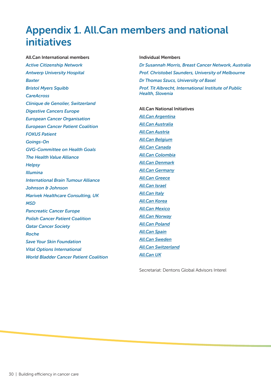# Appendix 1. All.Can members and national initiatives

All.Can International members *Active Citizenship Network Antwerp University Hospital Baxter Bristol Myers Squibb CareAcross Clinique de Genolier, Switzerland Digestive Cancers Europe European Cancer Organisation European Cancer Patient Coalition FOKUS Patient Goings-On GVG-Committee on Health Goals The Health Value Alliance Helpsy Illumina International Brain Tumour Alliance Johnson & Johnson Marivek Healthcare Consulting, UK MSD Pancreatic Cancer Europe Polish Cancer Patient Coalition Qatar Cancer Society Roche Save Your Skin Foundation Vital Options International World Bladder Cancer Patient Coalition* Individual Members

*Dr Susannah Morris, Breast Cancer Network, Australia Prof. Christobel Saunders, University of Melbourne Dr Thomas Szucs, University of Basel Prof. Tit Albrecht, International Institute of Public Health, Slovenia*

All.Can National Initiatives *All.Can Argentina All.Can Australia All.Can Austria All.Can Belgium All.Can Canada All.Can Colombia All.Can Denmark All.Can Germany All.Can Greece All.Can Israel All.Can Italy All.Can Korea All.Can Mexico All.Can Norway All.Can Poland All.Can Spain All.Can Sweden All.Can Switzerland All.Can UK*

Secretariat: Dentons Global Advisors Interel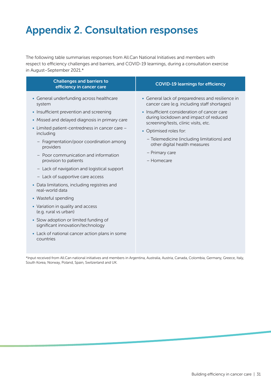# Appendix 2. Consultation responses

The following table summarises responses from All.Can National Initiatives and members with respect to efficiency challenges and barriers, and COVID-19 learnings, during a consultation exercise in August–September 2021.\*

| <b>Challenges and barriers to</b><br>efficiency in cancer care                                                                                                                                                                                                                                                                                                                                                                                                                                                                                                                                                                                                                                                                  | <b>COVID-19 learnings for efficiency</b>                                                                                                                                                                                                                                                                                                                                  |
|---------------------------------------------------------------------------------------------------------------------------------------------------------------------------------------------------------------------------------------------------------------------------------------------------------------------------------------------------------------------------------------------------------------------------------------------------------------------------------------------------------------------------------------------------------------------------------------------------------------------------------------------------------------------------------------------------------------------------------|---------------------------------------------------------------------------------------------------------------------------------------------------------------------------------------------------------------------------------------------------------------------------------------------------------------------------------------------------------------------------|
| • General underfunding across healthcare<br>system<br>• Insufficient prevention and screening<br>• Missed and delayed diagnosis in primary care<br>• Limited patient-centredness in cancer care -<br>including<br>- Fragmentation/poor coordination among<br>providers<br>- Poor communication and information<br>provision to patients<br>- Lack of navigation and logistical support<br>- Lack of supportive care access<br>• Data limitations, including registries and<br>real-world data<br>• Wasteful spending<br>• Variation in quality and access<br>(e.g. rural vs urban)<br>• Slow adoption or limited funding of<br>significant innovation/technology<br>• Lack of national cancer action plans in some<br>countries | • General lack of preparedness and resilience in<br>cancer care (e.g. including staff shortages)<br>• Insufficient consideration of cancer care<br>during lockdown and impact of reduced<br>screening/tests, clinic visits, etc.<br>• Optimised roles for:<br>- Telemedicine (including limitations) and<br>other digital health measures<br>- Primary care<br>- Homecare |

\*Input received from All.Can national initiatives and members in Argentina, Australia, Austria, Canada, Colombia, Germany, Greece, Italy, South Korea, Norway, Poland, Spain, Switzerland and UK.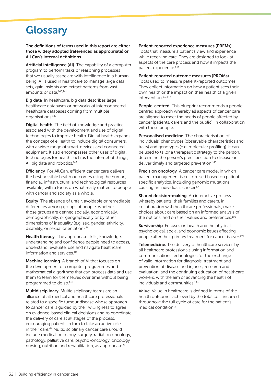# Glossary

The definitions of terms used in this report are either those widely adopted (referenced as appropriate) or All.Can's internal definitions.

Artificial intelligence (AI) The capability of a computer program to perform tasks or reasoning processes that we usually associate with intelligence in a human being. AI is used in healthcare to manage large data sets, gain insights and extract patterns from vast amounts of data.<sup>140,141</sup>

Big data In healthcare, big data describes large healthcare databases or networks of interconnected healthcare databases coming from multiple organisations.142

Digital health The field of knowledge and practice associated with the development and use of digital technologies to improve health. Digital health expands the concept of eHealth to include digital consumers, with a wider range of smart-devices and connected equipment. It also encompasses other uses of digital technologies for health such as the Internet of things, Al, big data and robotics.<sup>143</sup>

**Efficiency** For All.Can, efficient cancer care delivers the best possible health outcomes using the human, financial, infrastructural and technological resources available, with a focus on what really matters to people with cancer and society as a whole.

Equity The absence of unfair, avoidable or remediable differences among groups of people, whether those groups are defined socially, economically, demographically, or geographically or by other dimensions of inequality (e.g. sex, gender, ethnicity, disability, or sexual orientation).<sup>36</sup>

Health literacy The appropriate skills, knowledge, understanding and confidence people need to access, understand, evaluate, use and navigate healthcare information and services.<sup>111</sup>

Machine learning A branch of AI that focuses on the development of computer programmes and mathematical algorithms that can process data and use them to learn for themselves over time without being programmed to do so.141

Multidisciplinary Multidisciplinary teams are an alliance of all medical and healthcare professionals related to a specific tumour disease whose approach to cancer care is guided by their willingness to agree on evidence-based clinical decisions and to coordinate the delivery of care at all stages of the process, encouraging patients in turn to take an active role in their care.<sup>64</sup> Multidisciplinary cancer care should include medical oncology, surgery, radiation oncology, pathology, palliative care, psycho-oncology, oncology nursing, nutrition and rehabilitation, as appropriate.6

#### Patient-reported experience measures (PREMs)

Tools that measure a patient's view and experience while receiving care. They are designed to look at aspects of the care process and how it impacts the patient experience.144

Patient-reported outcome measures (PROMs)

Tools used to measure patient-reported outcomes. They collect information on how a patient sees their own health or the impact on their health of a given intervention.127,144

People-centred This blueprint recommends a peoplecentred approach whereby all aspects of cancer care are aligned to meet the needs of people affected by cancer (patients, carers and the public), in collaboration with these people.

Personalised medicine The characterisation of individuals' phenotypes (observable characteristics and traits) and genotypes (e.g. molecular profiling). It can be used to tailor a therapeutic strategy to the person, determine the person's predisposition to disease or deliver timely and targeted prevention.<sup>145</sup>

Precision oncology A cancer care model in which patient management is customised based on patientspecific analytics, including genomic mutations causing an individual's cancer.<sup>57</sup>

Shared decision-making An interactive process whereby patients, their families and carers, in collaboration with healthcare professionals, make choices about care based on an informed analysis of the options, and on their values and preferences.<sup>102</sup>

Survivorship Focuses on health and the physical, psychological, social and economic issues affecting people after their primary treatment for cancer is over.<sup>146</sup>

Telemedicine. The delivery of healthcare services by all healthcare professionals using information and communications technologies for the exchange of valid information for diagnosis, treatment and prevention of disease and injuries, research and evaluation, and the continuing education of healthcare workers, with the aim of advancing the health of  $individuals$  and communities  $^{143}$ 

Value Value in healthcare is defined in terms of the health outcomes achieved by the total cost incurred throughout the full cycle of care for the patient's medical condition $3$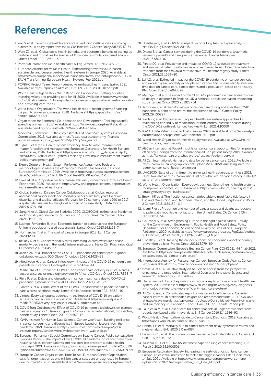# References

- 1. Wait S, et al. Towards sustainable cancer care: Reducing inefficiencies, improving outcomes—A policy report from the All.Can initiative. J Cancer Policy 2017;13:47–64
- 2. Ward ZJ, et al. Global costs, health benefits, and economic benefits of scaling up treatment and modalities for survival of 11 cancers: a simulation-based analysis. Lancet Oncol 2021;22:341–50
- 3. Porter ME. What is value in health care? N Engl J Med 2010;363:2477–81
- 4. European Alliance for Value in Health. Transforming towards value-based, sustainable, and people-centred health systems in Europe. 2020. Available at https://www.europeanallianceforvalueinhealth.eu/wp-content/uploads/2020/11/ EAVH-Transforming-European-Health-Systems-Feb-2021.pdf
- 5. PCVBHC Project Team. Person-centred value-based health care. Sprink, 2021. Available at https://sprink.co.uk/files/2021\_09\_21\_PCVBHC\_Report.pdf
- 6. World Health Organization. WHO Report on Cancer 2020: Setting priorities, investing wisely and providing care for all, 2020. Available at https://www.who. int/publications/i/item/who-report-on-cancer-setting-priorities-investing-wiselyand-providing-care-for-all
- 7. World Health Organization. The world health report: health systems financing: the path to universal coverage. 2010. Available at https://apps.who.int/iris/ handle/10665/44371
- 8. Organisation for Economic Co-operation and Development. Tackling wasteful spending on health. 2017. Available at https://www.oecd.org/health/tacklingwasteful-spending-on-health-9789264266414-en.htm
- 9. Medeiros J, Schwierz C. Efficiency estimates of healthcare systems. European Commission, 2015. Available at https://ec.europa.eu/economy\_finance/ publications/economic\_paper/2015/pdf/ecp549\_en.pdf
- 10. Cylus J, et al (eds). Health system efficiency: how to make measurement matter for policy and management. European Observatory for Health Systems and Policies, 2016. Available at https://www.euro.who.int/\_\_data/assets/pdf\_ file/0004/324283/Health-System-Efficiency-How-make-measurement-matterpolicy-management.pdf
- 11. Expert Group on Health System Performance Assessment. Tools and methodologies to assess the efficiency of health care services in Europe. European Commission, 2019. Available at https://op.europa.eu/en/publicationdetail/-/publication/27d2db38-76bc-11e9-9f05-01aa75ed71a1
- 12. Errea M, et al. Opportunities to increase efficiency in healthcare. Office of Health Economics, 2020. Available at https://www.ohe.org/publications/opportunitiesincrease-efficiency-healthcare
- 13. Global Burden of Disease Cancer Collaboration, et al. Global, regional, and national cancer incidence, mortality, years of life lost, years lived with disability, and disability-adjusted life-years for 29 cancer groups, 1990 to 2017: a systematic analysis for the global burden of disease study. JAMA Oncol 2019;5:1749–68
- 14. Sung H, et al. Global Cancer Statistics 2020: GLOBOCAN estimates of incidence and mortality worldwide for 36 cancers in 185 countries. CA Cancer J Clin 2021;71:209–49
- 15. Luengo-Fernandez R, et al. Economic burden of cancer across the European Union: a population-based cost analysis. Lancet Oncol 2013;14:1165–74
- 16. Hofmarcher T, et al. The cost of cancer in Europe 2018. Eur J Cancer 2020;129:41–9
- 17. ReFaey K, et al. Cancer Mortality rates increasing vs cardiovascular disease mortality decreasing in the world: future implications. Mayo Clin Proc Innov Qual Outcomes 2021;5:645–53
- 18. Jazieh AR, et al. Impact of the COVID-19 pandemic on cancer care: a global collaborative study. JCO Global Oncology 2020;6:1428–38
- 19. Moraliyage H, et al. Cancer in lockdown: impact of the COVID-19 pandemic on patients with cancer. Oncologist 2021;26:e342–e344
- 20. Martei YM, et al. Impact of COVID-19 on cancer care delivery in Africa: a crosssectional survey of oncology providers in Africa. JCO Glob Oncol 2021;7:368–7
- 21. Riera R, et al. Delays and disruptions in cancer health care due to COVID-19 pandemic: systematic review. JCO Glob Oncol 2021;7:311–23
- 22. Graetz D, et al. Global effect of the COVID-19 pandemic on paediatric cancer care: a cross-sectional study. Lancet Child Adolesc Health 2021;5:332–40
- 23. Vintura. Every day counts addendum: the impact of COVID-19 on patient access to cancer care in Europe. 2021. Available at https://www.efpia.eu/ media/602636/every-day-counts-covid19-addendum.pdf
- 24. COVIDSurg Collaborative. Effect of COVID-19 pandemic lockdowns on planned cancer surgery for 15 tumour types in 61 countries: an international, prospective, cohort study. Lancet Oncol 2021;22:1507–17
- 25. IQVIA Institute for Human Data Science. Cancer won't wait. Building resilience in cancer screening and diagnostics in Europe based on lessons from the pandemic. 2021. Available at https://www.iqvia.com/-/media/iqvia/pdfs/ institute-reports/cancer-wont-wait/cancer-wont-wait-web.pdf
- 26. European Parliament Special Committee on Beating Cancer. Public consultation Synopsis Report - The impact of the COVID-19 pandemic on cancer prevention, health services, cancer patients and research: lessons from a public health crisis. April 2021. Available at https://www.europarl.europa.eu/cmsdata/233010/ Synopsis%20report%20BECA%20COVID-19%20Consultation%201228560EN.pdf
- 27. European Cancer Organisation. Time To Act: European Cancer Organisation. calls for urgent action as one million cancer cases are undiagnosed in Europe due to Covid-19. 2021. Available at https://www.europeancancer.org/timetoact
- 28. Upadhaya S, et al. COVID-19 impact on oncology trials: a 1 -year analysis. Nat Rev Drug Discov 2021;20:415
- 29. Dhada S, et al. Cancer services during the COVID-19 pandemic: systematic review of patient's and caregiver's experiences. Cancer Manag Res 2021;13:5875–87
- 30. Pinato DJ, et al. Prevalence and impact of COVID-19 sequelae on treatment and survival of patients with cancer who recovered from SARS-CoV-2 infection: evidence from the OnCovid retrospective, multicentre registry study. Lancet Oncol 2021;22:1669–80
- 31. Lai AG, et al. Estimated impact of the COVID-19 pandemic on cancer services and excess 1-year mortality in people with cancer and multimorbidity: near realtime data on cancer care, cancer deaths and a population-based cohort study. BMJ Open 2020;10:e043828
- 32. Maringe C, et al. The impact of the COVID-19 pandemic on cancer deaths due to delays in diagnosis in England, UK: a national, population-based, modelling study. Lancet Oncol 2020;21:1023–34
- 33. Tarricone R, et al. Transformation of cancer care during and after the COVID pandemic, a point of no return. the experience of Italy. J Cancer Policy 2021;29:100297
- 34. Kardas P, et al. Disparities in European healthcare system approaches to maintaining continuity of medication for non-communicable diseases during the COVID-19 outbreak. Lancet Reg Health Eur 2021;4:10009
- 35. IQVIA. EFPIA Patients wait indicator survey. 2020. Available at https://www.efpia. eu/media/554526/patients-wait-indicator-2019.pdf
- 36. World Health Organization. Health equity website. Available at www.who.int/ health-topics/health-equity
- 37. All.Can International. Patient insights on cancer care: opportunities for improving efficiency. Findings from the international All.Can patient survey. 2019. Available at https://www.all-can.org/what-we-do/research/patient-survey/
- 38. All.Can International. Harnessing data for better cancer care. 2021. Available at https://www.all-can.org/wp-content/uploads/2021/05/Harnessing-data-forbetter-cancer-care\_Report-online.pdf
- 39. UHC2030. State of commitment to universal health coverage: synthesis 2021. 2021. Available at https://www.uhc2030.org/what-we-do/voices/accountability/ state-of-uhc-commitment/
- 40. World Health Organization. Everybody's business. Strengthening health systems to improve outcomes. 2007. Available at https://www.who.int/healthsystems/ strategy/everybodys\_business.pdf
- 41. Brown KF, et al. The fraction of cancer attributable to modifiable risk factors in England, Wales, Scotland, Northern Ireland, and the United Kingdom in 2015. Br J Cancer 2018;118:1130–114
- 42. Islami F, et al. Proportion and number of cancer cases and deaths attributable to potentially modifiable risk factors in the United States. CA Cancer J Clin 2018;68:31–54
- 43. Couespel N, et al. Strengthening Europe in the fight against cancer study for the Committee on Environment, Public Health and Food Safety, Policy Department for Economic, Scientific and Quality of Life Policies, European Parliament. 2020. Available at https://www.europarl.europa.eu/RegData/etudes/ STUD/2020/642388/IPOL\_STU(2020)642388\_EN.pdf
- 44. Cheatley J, et al. Tackling the cancer burden: the economic impact of primary prevention policies. Molec Oncol 2021;15:779–89
- 45. European Commission. Europe's Beating Cancer Plan (COM(2021) 44 final) 2021. Available at https://ec.europa.eu/health/sites/default/files/non\_communicable\_ diseases/docs/eu\_cancer-plan\_en.pdf
- 46. International Agency for Research on Cancer. European Code Against Cancer. 2016. Available at: https://cancer-code-europe.iarc.fr/index.php/en/
- 47. Ismael J, et al. Qualitative study on barriers to access from the perspective of patients and oncologists. International Journal of Innovative Science and Research Technology 2021;6:494–9
- 48. De La Fuente E. Early diagnosis in oncology, a key to a more efficient healthcare system. 2021. Available at https://www.all-can.org/news/blog/early-diagnosisin-oncology-a-key-to-a-more-efficient-healthcare-system/
- 49. All.Can Canada. Consolidated report on waste and inefficiency in Canadian cancer care: multi-stakeholder insights and recommendations. 2020. Available at https://saveyourskin.ca/wp-content/uploads/Consolidated-Report-of-Wasteand-Inefficiency-in-Canadian-Cancer-Care\_All.Can-Canada-Report.pdf
- 50. Laudicella M, et al. Cost of care for cancer patients in England: evidence from population-based patient-level data. Br J Cancer 2016;114:1286–92
- 51. World Health Organization. Guide to Cancer Early Diagnosis. 2018. Available at https://apps.who.int/iris/handle/10665/254500
- 52. Hanna T P, et al. Mortality due to cancer treatment delay: systematic review and meta-analysis. BMJ 2020;371:m4087
- 53. DeSantis CE, et al. The burden of rare cancers in the United States. CA Cancer J Clin 2017;67:261–72
- 54. Kauczor H-U, et al. ESR/ERS statement paper on lung cancer screening. Eur Respir J 2020;55:1900506
- 55. European Respiratory Society. Increasing the early diagnosis of lung cancer in Europe: an essential milestone to tackle the biggest cancer killer. Open letter, 14 July 2021. Available at https://www.lungcancereurope.eu/wp-content/ uploads/2021/07/Draft-open-letter\_ERS\_Final\_PDF.pdf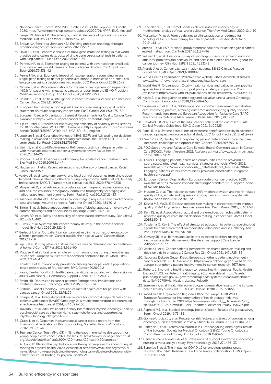- 56. National Cancer Control Plan (NCCP) 2020-2030 of the Republic of Croatia. 2020. https://www.nppr.hr/wp-content/uploads/2020/01/NPPR\_ENG\_final.pdf
- 57. Berger MF, Mardis ER. The emerging clinical relevance of genomics in cancer medicine. Nat Rev Clin Oncol 2018;15:353–65.
- 58. Brown NA, Elenitoba-Johnson KSJ. Enabling precision oncology through precision diagnostics. Ann Rev Pathol 2020;15:97
- 59. Dalal AA, et al. Economic analysis of BRAF gene mutation testing in real world practice using claims data: costs of single gene versus panel tests in patients with lung cancer. J Med Econ 2018;21:649–55
- 60. Pennell NA, et al. Biomarker testing for patients with advanced non-small cell lung cancer: real-world issues and tough choices. Am Soc Clin Oncol Educ Book 2019;39:531–42
- 61. Pennell NA, et al. Economic impact of next-generation sequencing versus single-gene testing to detect genomic alterations in metastatic non-small cell lung cancer using a decision analytic model. JCO Precis Oncol 2019:3:1–9
- 62. Mosele F, et al. Recommendations for the use of next-generation sequencing (NGS) for patients with metastatic cancers: a report from the ESMO Precision Medicine Working Group. Ann Oncol 2020;31:1491–1505
- 63. Bhinder B, et al. Artificial intelligence in cancer research and precision medicine. Cancer Discov 2021;11:900–15
- 64. European Partnership Action Against Cancer consensus group, et al. Policy statement on multidisciplinary cancer care. Eur J Cancer 2014;50:475–80
- 65. European Cancer Organisation. Essential Requirements for Quality Cancer Care. Available at https://www.europeancancer.org/2-content/8-erqcc
- 66. Yip W, Hafez R. Reforms for improving the efficiency of health systems: lessons for 10 country cases. WHO, 2015. Available at https://apps.who.int/iris/bitstream/ handle/10665/185989/WHO\_HIS\_HGF\_SR\_15.1\_eng.pdf
- 67. Loubière S, et al. Cost-effectiveness of KRAS, EGFR and ALK testing for decision making in advanced nonsmall cell lung carcinoma: the French IFCT-PREDICT. amm study. Eur Respir J 2018;51:1701467
- 68. Unim B, et al. Cost-Effectiveness of RAS genetic testing strategies in patients with metastatic colorectal cancer: a systematic review. Value Health 2020;23:114–26
- 69. Podder TK, et al. Advances in radiotherapy for prostate cancer treatment. Adv Exp Med Biol 2018;1096:31–47
- 70. Haussmann J, et al. Recent advances in radiotherapy of breast cancer. Radiat Oncol 2020;15:71
- 71. Vaidya JS, et al. Long term survival and local control outcomes from single dose targeted intraoperative radiotherapy during lumpectomy (TARGIT-IORT) for early breast cancer: TARGIT-A randomised clinical trial. BMJ 2020;370:m2836
- 72. Moghanaki D, et al. Advances in prostate cancer magnetic resonance imaging and positron emission tomography-computed tomography for staging and radiotherapy treatment planning. Semin Radiat Oncol 2017;27:21–33
- 73. Kaanders JHAM, et al. Advances in cancer imaging require renewed radiotherapy dose and target volume concepts. Radiother Oncol 2020;148:140–2
- 74. Bittner B, et al. Subcutaneous administration of biotherapeutics: an overview of current challenges and opportunities. BioDrugs 2018;32:425–40
- 75. Larsen FO, et al. Safety and feasibility of home-based chemotherapy. Dan Med J 2018;65:A5482
- 76. Burns V, et al. Systemic anti-cancer therapy delivery in the home: a service model. Br J Nurs 2020;29:S22–9
- 77. Bertucci F, et al. Outpatient cancer care delivery in the context of e-oncology: a French perspective on "Cancer outside the hospital walls". Cancers (Basel) 2019;11:219
- 78. Yip F, et al. Putting patients first: an inventive service delivering cancer treatment at home. J Comp Eff Res 2019;8:951–60
- 79. Maguire R, et al. Real time remote symptom monitoring during chemotherapy for cancer: European multicentre randomised controlled trial (eSMART). BMJ 2021;374:n1647
- 80. Fowler H, et al. Comorbidity prevalence among cancer patients: a population-based cohort study of four cancers. BMC Cancer 2020;20:2
- 81. Pan X, Sambamoorthi U. Health care expenditures associated with depression in adults with cancer. J Community Support Oncol 2015;13:240–7
- 82. Smith HR. Depression in cancer patients: Pathogenesis, implications and treatment (Review). Oncology Letters 2015;9;1509–14
- 83. Editorial. Lancet Oncology. Provision of mental health care for patients with cancer. Lancet Oncol 2021;22;P1199
- 84. Sharpe M, et al. Integrated collaborative care for comorbid major depression in patients with cancer (SMaRT Oncology-2): a multicentre randomised controlled effectiveness trial. Lancet 2014;384:1099–108
- 85. Travado L, et al. 2015 President's Plenary International Psycho-oncology Society: psychosocial care as a human rights issue—challenges and opportunities. Psycho-Oncology 2017;26:563–9
- 86. Grassi L, et al. Disparities in psychosocial cancer care: a report from the International Federation of Psycho-oncology Societies. Psycho-Oncology 2016;25:1127–36
- 87. Teenage Cancer Trust. #NotOK filling the gaps in mental health support for young people with cancer. 2021. Available at https://www.teenagecancertrust. org/sites/default/files/Not%20OK%20mental%20health%20report.pdf
- 88. All.Can UK. Placing the psychological wellbeing of people with cancer on equal footing to physical health. 2020. Available at https://www.all-can.org/news/ninews/all-can-uk-report-placing-the-psychological-wellbeing-of-people-withcancer-on-equal-footing-to-physical-health-2/
- 89. Caccialanza R, et al. Unmet needs in clinical nutrition in oncology: a multinational analysis of real-world evidence. Ther Adv Med Oncol 2020;12:1–10
- 90. Muscaritoli M, et al. From guidelines to clinical practice: a roadmap for oncologists for nutrition therapy for cancer patients. Ther Adv Med Oncol 2019: 11:1–14
- 91. Arends J, et al. ESPEN expert group recommendations for action against cancerrelated malnutrition. Clin Nutr 2017;36:1187–96
- 92. Sullivan ES, et al. A national survey of oncology survivors examining nutrition attitudes, problems and behaviours, and access to dietetic care throughout the cancer journey. Clin Nutr ESPEN 2021;41:331–9
- 93. Arends J, et al. Cancer cachexia in adult patients: ESMO Clinical Practice Guidelines. ESMO Open 2021;6:100092
- 94. World Health Organization. Palliative care website. 2020. Available at https:// www.who.int/news-room/fact-sheets/detail/palliative-care
- 95. World Health Organization. Quality health services and palliative care: practical approaches and resources to support policy, strategy and practice. 2021. Available at https://www.who.int/publications-detail-redirect/9789240035164
- 96. Kaasa S, et al. Integration of oncology and palliative care: a Lancet Oncology Commission. Lancet Oncol 2018;19:e588–653.
- 97. Bausewein C, et al. EAPC White Paper on outcome measurement in palliative care: Improving practice, attaining outcomes and delivering quality services - Recommendations from the European Association for Palliative Care (EAPC) Task Force on Outcome Measurement. Palliat Med 2016;30:6–22
- 98. Crawford GB, et al. Care of the adult cancer patient at the end of life: ESMO Clinical Practice Guidelines. ESMO Open 2021;6:100225
- 99. Patell R, et al. Patient perceptions of treatment benefit and toxicity in advanced cancer: a prospective cross-sectional study. JCO Oncol Pract 2021;17:e119–29
- 100. Veenstra CM, Hawley ST. Incorporating patient preferences into cancer care decisions: challenges and opportunities. Cancer 2020;126:3393–6
- 101. PDQ Supportive and Palliative Care Editorial Board. Communication in Cancer Care (PDQ®): Patient Version. 2021. Available at https://www.ncbi.nlm.nih.gov/ books/NBK65907/
- 102. Ferrer L. Engaging patients, carers and communities for the provision of coordinated/integrated health services: strategies and tools. WHO, 2015. Available at https://www.euro.who.int/\_\_data/assets/pdf\_file/0004/290443/ Engaging-patients-carers-communities-provision-coordinated-integratedhealth-services.pdf
- 103. European Cancer Organisation. European code of cancer practice. 2020. Available at https://www.europeancancer.org/2-standard/66-european-codeof-cancer-practice
- 104. Husson O, et al. The relation between information provision and health-related quality of life, anxiety and depression among cancer survivors: a systematic review. Ann Oncol 2011;22:761–72
- 105. Kashaf MS, McGill E. Does shared decision making in cancer treatment improve quality of life? A systematic literature review. Med Decis Making 2015;35:1037–48
- 106. Kehl KL, et al. Association of actual and preferred decision roles with patientreported quality of care: shared decision making in cancer care. JAMA Oncol 2015;1:50–8
- 107. Tokdemir G, Kav S. The effect of structured education to patients receiving oral agents for cancer treatment on medication adherence and self-efficacy. Asia Pac J Oncol Nurs 2017;4:290–98
- 108. Covvey JR, et al. Barriers and facilitators to shared decision-making in oncology: a systematic review of the literature. Support Care Cance 2019;27:1613–37
- 109. Josfeld L, et al. Cancer patients' perspective on shared decision-making and decision aids in oncology. J Cancer Res Clin Oncol 2021;147:1725–32
- 110. Nationale Dekade Gegen Krebs. Europe strengthens patient involvement in cancer research. 2020. Available at https://www.dekade-gegen-krebs.de/de/ europe-strengthens-patient-involvement-in-cancer-research-2677.html
- 111. Roberts J. Improving health literacy to reduce health inequities. Public Health England / UCL Institute of Health Equity, 2015. Available at https://assets. publishing.service.gov.uk/government/uploads/system/uploads/attachment\_ data/file/460709/4a\_Health\_Literacy-Full.pdf/
- 112. Sørensen K, et al. Health literacy in Europe: comparative results of the European health literacy survey (HLS-EU). Eur J Public Health 2015;25:1053–8
- 113. World Health Organization Regional Office for Europe. Draft WHO European Roadmap for implementation of health literacy initiatives through the life course. 2019 https://www.euro.who.int/\_\_data/assets/pdf\_ file/0003/409125/69wd14e\_Rev1\_RoadmapOnHealthLiteracy\_190323.pdf
- 114. Raphael MJ, et al. Medical oncology job satisfaction: Results of a global survey. Semin Oncol 2019;46:73–82
- 115. Gómez-Urquiza JL, et al. Prevalence, risk factors, and levels of burnout among oncology nurses: a systematic review. Oncol Nurs Forum 2016;43:E104–20
- 116. Banerjee S, et al. Professional burnout in European young oncologists: results of the European Society for Medical Oncology (ESMO) Young Oncologists Committee Burnout Survey. Ann Oncol 2017;28:1590–6
- 117. Cañadas-De la Fuente GA, et al. Prevalence of burnout syndrome in oncology nursing: a meta-analytic study. Psychooncology. 2018;27:1426–33
- 118. Banerjee S, et al. The impact of COVID-19 on oncology professionals: results of the ESMO Resilience Task Force survey collaboration. ESMO Open 2021;6:100058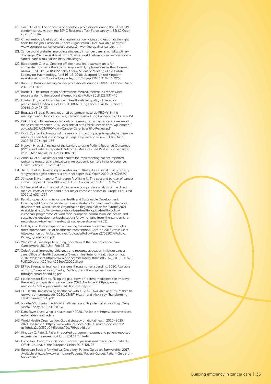- 119. Lim KHJ, et al. The concerns of oncology professionals during the COVID-19 pandemic: results from the ESMO Resilience Task Force survey II. ESMO Open 2021;6:100199
- 120. Charalambous A, et al. Working against cancer: giving professionals the right tools for the job. European Cancer Organisation, 2021. Available at https:// www.europeancancer.org/resources/194:working-against-cancer.html
- 121. Cancerworld website. Improving efficiency in cancer care: a multidisciplinary challenge. 2020. Available at https://cancerworld.net/improving-efficiency-incancer-care-a-multidisciplinary-challenge/
- 122. Bloodworth C, et al. Creating off-site nurse led treatment units for administering chemotherapy to people with lymphoma nearer their homes. Abstract BSH2018=OR-022. 58th Annual Scientific Meeting of the British Society for Haematology, April 16–18, 2018; Liverpool, United Kingdom. Available at https://onlinelibrary.wiley.com/doi/epdf/10.1111/bjh.15226
- 123. Burki TK. Burnout among cancer professionals during COVID-19. Lancet Oncol 2020;21:P1402
- 124. Burnel P. The introduction of electronic medical records in France: More progress during the second attempt. Health Policy 2018;122:937–40
- 125. Ediebah DE, et al. Does change in health-related quality of life score predict survival? Analysis of EORTC 08975 lung cancer trial. Br J Cancer 2014;110,:2427–33
- 126. Bouazza YB, et al. Patient-reported outcome measures (PROMs) in the management of lung cancer: a systematic review. Lung Cancer 2017;113:140–151
- 127. Kaiku Health. Patient-reported outcome measures in cancer care: a review of the scientific evidence. 2017. Available at https://kaikuhealth.com/wp-content/ uploads/2017/03/PROMs-in-Cancer-Care-Scientific-Review.pdf
- 128. Cook O, et al. Exploration of the use and impact of patient-reported experience measures (PREMs) in oncology settings: a systematic review. J Clin Oncol 2020;38 (29 suppl.):166
- 129. Nguyen H, et al. A review of the barriers to using Patient-Reported Outcomes (PROs) and Patient-Reported Outcomes Measures (PROMs) in routine cancer care. J Med Radiat Sci 2021;68:186–95
- 130. Amini M, et al. Facilitators and barriers for implementing patient-reported outcome measures in clinical care: An academic center's initial experience. Health Policy 2021;125:1247–55
- 131. Heriot N, et al. Developing an Australian multi-module clinical quality registry for gynaecological cancers: a protocol paper. BMJ Open 2020;10:e034579
- 132. Jönsson B, Hofmarcher T, Lindgren P, Wilking N. The cost and burden of cancer in the European Union 1995–2014. Eur J Cancer. 2016 Oct;66:162–70
- 133. Schlueter M, et al. The cost of cancer A comparative analysis of the direct medical costs of cancer and other major chronic diseases in Europe. PLoS ONE 2020;15:e0241354
- 134. Pan-European Commission on Health and Sustainable Development. Drawing light from the pandemic: a new strategy for health and sustainable development. World Health Organization Regional Office for Europe, 2021. Available at https://www.euro.who.int/en/health-topics/health-policy/ european-programme-of-work/pan-european-commission-on-health-andsustainable-development/publications/drawing-light-from-the-pandemic-anew-strategy-for-health-and-sustainable-development-2021
- 135. Grilli R, et al. Policy paper on enhancing the value of cancer care through a more appropriate use of healthcare interventions. CanCon 2017. Available at https://cancercontrol.eu/archived/uploads/PolicyPapers27032017/Policy\_ Paper\_3\_Enhancing.pdf
- 136. Wagstaff A. Five steps to putting innovation at the heart of cancer care. Cancerworld 2014;Jan-Feb;25–33
- 137. Cole A, et al. Improving efficiency and resource allocation in future cancer care. Office of Health Economics/Swedish Institute for Health Economics. 2016. Available at https://www.ohe.org/sites/default/files/839%20OHE-IHE%20 Full%20report%20final%20Sept%202016.pdf
- 138. EFPIA. Strengthening health systems through smart spending. 2020. Available at https://www.efpia.eu/media/554822/strengthening-health-systemsthrough-smart-spending.pdf
- 139. Medicines for Europe. Filling the gap. How off-patent medicines can improve the equity and quality of cancer care. 2021. Available at https://www. medicinesforeurope.com/docs/Filling-the-gap.pdf
- 140. EIT Health. Transforming healthcare with AI. 2020. Available at https://eithealth. eu/wp-content/uploads/2020/03/EIT-Health-and-McKinsey\_Transforming-Healthcare-with-AI.pdf
- 141. Londhe VY, Bhasin B. Artificial intelligence and its potential in oncology. Drug Discov Today 2019;24:228–32
- 142. Data Saves Lives. What is health data? 2020. Available at https:// datasaveslives. eu/what-is-health-data
- 143. World Health Organization. Global strategy on digital health 2020–2025. 2021. Available at https://www.who.int/docs/default-source/documents/ gs4dhdaa2a9f352b0445bafbc79ca799dce4d.pdf
- 144. Kingsley C, Patel S. Patient-reported outcome measures and patient-reported experience measures. BJA Educ 2017;17:137–44
- 145. European Union. Council conclusions on personalised medicine for patients. Official Journal of the European Union 2015 421/03
- 146. European Society for Medical Oncology. Patient Guide on Survivorship. 2017. Available at https://www.esmo.org/Patients/ Patient-Guides/Patient-Guide-on-Survivorship